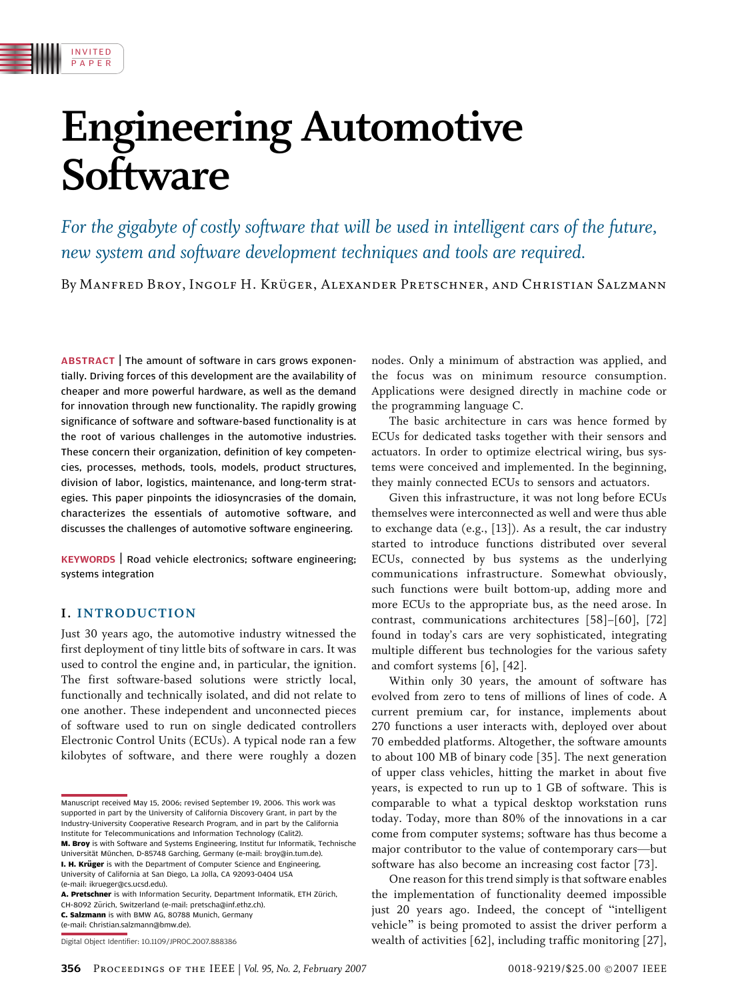# Engineering Automotive **Software**

For the gigabyte of costly software that will be used in intelligent cars of the future, new system and software development techniques and tools are required.

By Manfred Broy, Ingolf H. Krüger, Alexander Pretschner, and Christian Salzmann

ABSTRACT | The amount of software in cars grows exponentially. Driving forces of this development are the availability of cheaper and more powerful hardware, as well as the demand for innovation through new functionality. The rapidly growing significance of software and software-based functionality is at the root of various challenges in the automotive industries. These concern their organization, definition of key competencies, processes, methods, tools, models, product structures, division of labor, logistics, maintenance, and long-term strategies. This paper pinpoints the idiosyncrasies of the domain, characterizes the essentials of automotive software, and discusses the challenges of automotive software engineering.

KEYWORDS | Road vehicle electronics; software engineering; systems integration

## I. INTRODUCTION

INVITED PAPER

Just 30 years ago, the automotive industry witnessed the first deployment of tiny little bits of software in cars. It was used to control the engine and, in particular, the ignition. The first software-based solutions were strictly local, functionally and technically isolated, and did not relate to one another. These independent and unconnected pieces of software used to run on single dedicated controllers Electronic Control Units (ECUs). A typical node ran a few kilobytes of software, and there were roughly a dozen

M. Broy is with Software and Systems Engineering, Institut fur Informatik, Technische Universität München, D-85748 Garching, Germany (e-mail: broy@in.tum.de). **I. H. Krüger** is with the Department of Computer Science and Engineering, University of California at San Diego, La Jolla, CA 92093-0404 USA

(e-mail: ikrueger@cs.ucsd.edu).

A. Pretschner is with Information Security, Department Informatik, ETH Zürich,

CH-8092 Zürich, Switzerland (e-mail: pretscha@inf.ethz.ch). C. Salzmann is with BMW AG, 80788 Munich, Germany

(e-mail: Christian.salzmann@bmw.de).

nodes. Only a minimum of abstraction was applied, and the focus was on minimum resource consumption. Applications were designed directly in machine code or the programming language C.

The basic architecture in cars was hence formed by ECUs for dedicated tasks together with their sensors and actuators. In order to optimize electrical wiring, bus systems were conceived and implemented. In the beginning, they mainly connected ECUs to sensors and actuators.

Given this infrastructure, it was not long before ECUs themselves were interconnected as well and were thus able to exchange data (e.g., [13]). As a result, the car industry started to introduce functions distributed over several ECUs, connected by bus systems as the underlying communications infrastructure. Somewhat obviously, such functions were built bottom-up, adding more and more ECUs to the appropriate bus, as the need arose. In contrast, communications architectures [58]–[60], [72] found in today's cars are very sophisticated, integrating multiple different bus technologies for the various safety and comfort systems [6], [42].

Within only 30 years, the amount of software has evolved from zero to tens of millions of lines of code. A current premium car, for instance, implements about 270 functions a user interacts with, deployed over about 70 embedded platforms. Altogether, the software amounts to about 100 MB of binary code [35]. The next generation of upper class vehicles, hitting the market in about five years, is expected to run up to 1 GB of software. This is comparable to what a typical desktop workstation runs today. Today, more than 80% of the innovations in a car come from computer systems; software has thus become a major contributor to the value of contemporary cars—but software has also become an increasing cost factor [73].

One reason for this trend simply is that software enables the implementation of functionality deemed impossible just 20 years ago. Indeed, the concept of "intelligent vehicle" is being promoted to assist the driver perform a wealth of activities [62], including traffic monitoring [27],

Manuscript received May 15, 2006; revised September 19, 2006. This work was supported in part by the University of California Discovery Grant, in part by the Industry-University Cooperative Research Program, and in part by the California Institute for Telecommunications and Information Technology (Calit2).

Digital Object Identifier: 10.1109/JPROC.2007.888386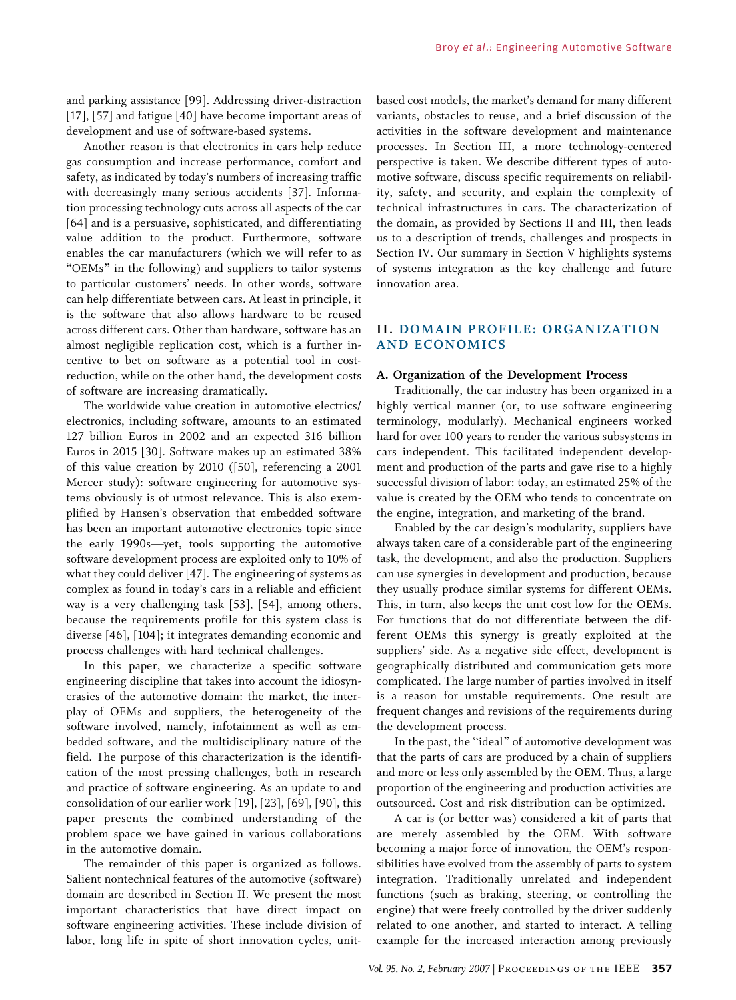and parking assistance [99]. Addressing driver-distraction [17], [57] and fatigue [40] have become important areas of development and use of software-based systems.

Another reason is that electronics in cars help reduce gas consumption and increase performance, comfort and safety, as indicated by today's numbers of increasing traffic with decreasingly many serious accidents [37]. Information processing technology cuts across all aspects of the car [64] and is a persuasive, sophisticated, and differentiating value addition to the product. Furthermore, software enables the car manufacturers (which we will refer to as "OEMs" in the following) and suppliers to tailor systems to particular customers' needs. In other words, software can help differentiate between cars. At least in principle, it is the software that also allows hardware to be reused across different cars. Other than hardware, software has an almost negligible replication cost, which is a further incentive to bet on software as a potential tool in costreduction, while on the other hand, the development costs of software are increasing dramatically.

The worldwide value creation in automotive electrics/ electronics, including software, amounts to an estimated 127 billion Euros in 2002 and an expected 316 billion Euros in 2015 [30]. Software makes up an estimated 38% of this value creation by 2010 ([50], referencing a 2001 Mercer study): software engineering for automotive systems obviously is of utmost relevance. This is also exemplified by Hansen's observation that embedded software has been an important automotive electronics topic since the early 1990s-yet, tools supporting the automotive software development process are exploited only to 10% of what they could deliver [47]. The engineering of systems as complex as found in today's cars in a reliable and efficient way is a very challenging task [53], [54], among others, because the requirements profile for this system class is diverse [46], [104]; it integrates demanding economic and process challenges with hard technical challenges.

In this paper, we characterize a specific software engineering discipline that takes into account the idiosyncrasies of the automotive domain: the market, the interplay of OEMs and suppliers, the heterogeneity of the software involved, namely, infotainment as well as embedded software, and the multidisciplinary nature of the field. The purpose of this characterization is the identification of the most pressing challenges, both in research and practice of software engineering. As an update to and consolidation of our earlier work [19], [23], [69], [90], this paper presents the combined understanding of the problem space we have gained in various collaborations in the automotive domain.

The remainder of this paper is organized as follows. Salient nontechnical features of the automotive (software) domain are described in Section II. We present the most important characteristics that have direct impact on software engineering activities. These include division of labor, long life in spite of short innovation cycles, unitbased cost models, the market's demand for many different variants, obstacles to reuse, and a brief discussion of the activities in the software development and maintenance processes. In Section III, a more technology-centered perspective is taken. We describe different types of automotive software, discuss specific requirements on reliability, safety, and security, and explain the complexity of technical infrastructures in cars. The characterization of the domain, as provided by Sections II and III, then leads us to a description of trends, challenges and prospects in Section IV. Our summary in Section V highlights systems of systems integration as the key challenge and future innovation area.

# II. DOMAIN PROFILE: ORGANIZATION AND ECONOMICS

#### A. Organization of the Development Process

Traditionally, the car industry has been organized in a highly vertical manner (or, to use software engineering terminology, modularly). Mechanical engineers worked hard for over 100 years to render the various subsystems in cars independent. This facilitated independent development and production of the parts and gave rise to a highly successful division of labor: today, an estimated 25% of the value is created by the OEM who tends to concentrate on the engine, integration, and marketing of the brand.

Enabled by the car design's modularity, suppliers have always taken care of a considerable part of the engineering task, the development, and also the production. Suppliers can use synergies in development and production, because they usually produce similar systems for different OEMs. This, in turn, also keeps the unit cost low for the OEMs. For functions that do not differentiate between the different OEMs this synergy is greatly exploited at the suppliers' side. As a negative side effect, development is geographically distributed and communication gets more complicated. The large number of parties involved in itself is a reason for unstable requirements. One result are frequent changes and revisions of the requirements during the development process.

In the past, the "ideal" of automotive development was that the parts of cars are produced by a chain of suppliers and more or less only assembled by the OEM. Thus, a large proportion of the engineering and production activities are outsourced. Cost and risk distribution can be optimized.

A car is (or better was) considered a kit of parts that are merely assembled by the OEM. With software becoming a major force of innovation, the OEM's responsibilities have evolved from the assembly of parts to system integration. Traditionally unrelated and independent functions (such as braking, steering, or controlling the engine) that were freely controlled by the driver suddenly related to one another, and started to interact. A telling example for the increased interaction among previously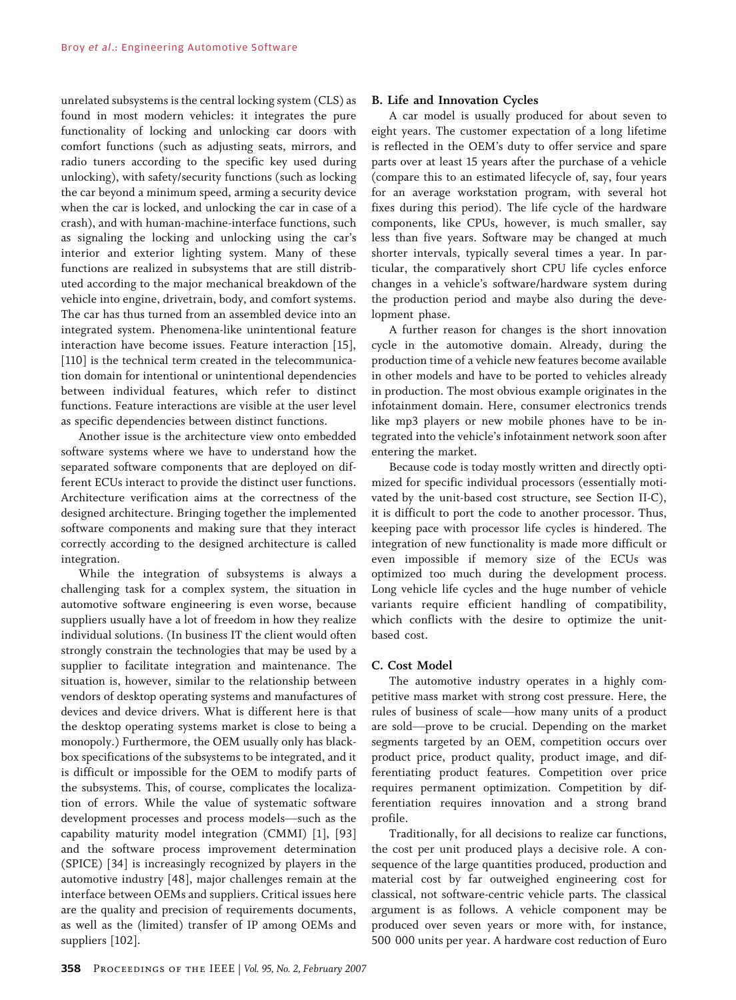unrelated subsystems is the central locking system (CLS) as found in most modern vehicles: it integrates the pure functionality of locking and unlocking car doors with comfort functions (such as adjusting seats, mirrors, and radio tuners according to the specific key used during unlocking), with safety/security functions (such as locking the car beyond a minimum speed, arming a security device when the car is locked, and unlocking the car in case of a crash), and with human-machine-interface functions, such as signaling the locking and unlocking using the car's interior and exterior lighting system. Many of these functions are realized in subsystems that are still distributed according to the major mechanical breakdown of the vehicle into engine, drivetrain, body, and comfort systems. The car has thus turned from an assembled device into an integrated system. Phenomena-like unintentional feature interaction have become issues. Feature interaction [15], [110] is the technical term created in the telecommunication domain for intentional or unintentional dependencies between individual features, which refer to distinct functions. Feature interactions are visible at the user level as specific dependencies between distinct functions.

Another issue is the architecture view onto embedded software systems where we have to understand how the separated software components that are deployed on different ECUs interact to provide the distinct user functions. Architecture verification aims at the correctness of the designed architecture. Bringing together the implemented software components and making sure that they interact correctly according to the designed architecture is called integration.

While the integration of subsystems is always a challenging task for a complex system, the situation in automotive software engineering is even worse, because suppliers usually have a lot of freedom in how they realize individual solutions. (In business IT the client would often strongly constrain the technologies that may be used by a supplier to facilitate integration and maintenance. The situation is, however, similar to the relationship between vendors of desktop operating systems and manufactures of devices and device drivers. What is different here is that the desktop operating systems market is close to being a monopoly.) Furthermore, the OEM usually only has blackbox specifications of the subsystems to be integrated, and it is difficult or impossible for the OEM to modify parts of the subsystems. This, of course, complicates the localization of errors. While the value of systematic software development processes and process models-such as the capability maturity model integration (CMMI) [1], [93] and the software process improvement determination (SPICE) [34] is increasingly recognized by players in the automotive industry [48], major challenges remain at the interface between OEMs and suppliers. Critical issues here are the quality and precision of requirements documents, as well as the (limited) transfer of IP among OEMs and suppliers [102].

#### B. Life and Innovation Cycles

A car model is usually produced for about seven to eight years. The customer expectation of a long lifetime is reflected in the OEM's duty to offer service and spare parts over at least 15 years after the purchase of a vehicle (compare this to an estimated lifecycle of, say, four years for an average workstation program, with several hot fixes during this period). The life cycle of the hardware components, like CPUs, however, is much smaller, say less than five years. Software may be changed at much shorter intervals, typically several times a year. In particular, the comparatively short CPU life cycles enforce changes in a vehicle's software/hardware system during the production period and maybe also during the development phase.

A further reason for changes is the short innovation cycle in the automotive domain. Already, during the production time of a vehicle new features become available in other models and have to be ported to vehicles already in production. The most obvious example originates in the infotainment domain. Here, consumer electronics trends like mp3 players or new mobile phones have to be integrated into the vehicle's infotainment network soon after entering the market.

Because code is today mostly written and directly optimized for specific individual processors (essentially motivated by the unit-based cost structure, see Section II-C), it is difficult to port the code to another processor. Thus, keeping pace with processor life cycles is hindered. The integration of new functionality is made more difficult or even impossible if memory size of the ECUs was optimized too much during the development process. Long vehicle life cycles and the huge number of vehicle variants require efficient handling of compatibility, which conflicts with the desire to optimize the unitbased cost.

## C. Cost Model

The automotive industry operates in a highly competitive mass market with strong cost pressure. Here, the rules of business of scale—how many units of a product are sold-prove to be crucial. Depending on the market segments targeted by an OEM, competition occurs over product price, product quality, product image, and differentiating product features. Competition over price requires permanent optimization. Competition by differentiation requires innovation and a strong brand profile.

Traditionally, for all decisions to realize car functions, the cost per unit produced plays a decisive role. A consequence of the large quantities produced, production and material cost by far outweighed engineering cost for classical, not software-centric vehicle parts. The classical argument is as follows. A vehicle component may be produced over seven years or more with, for instance, 500 000 units per year. A hardware cost reduction of Euro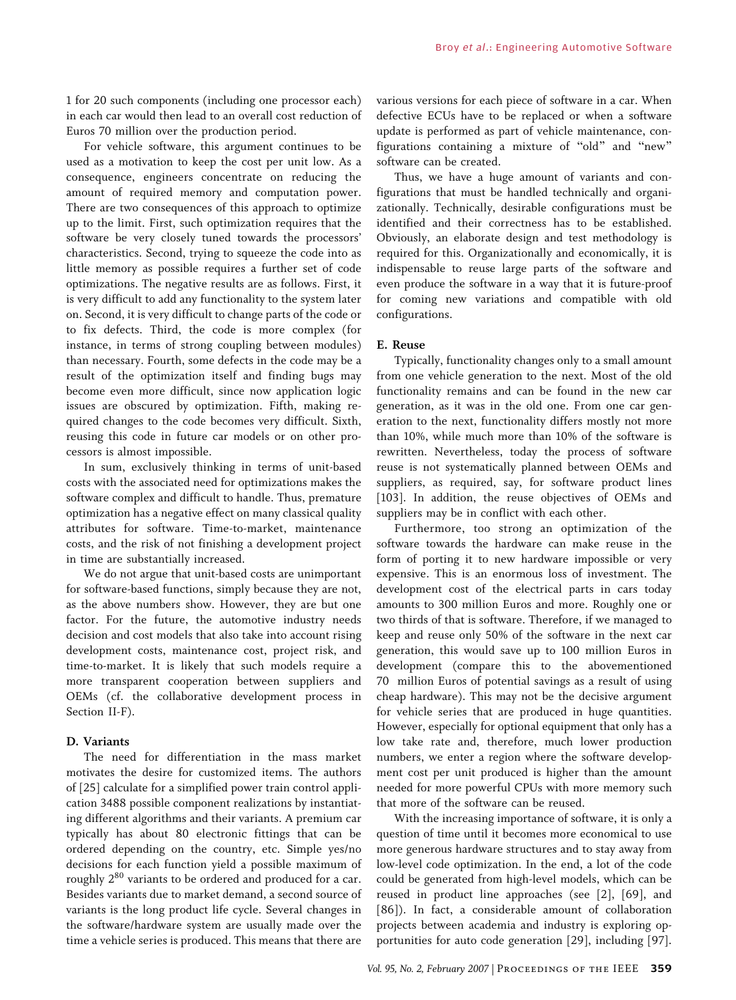1 for 20 such components (including one processor each) in each car would then lead to an overall cost reduction of Euros 70 million over the production period.

For vehicle software, this argument continues to be used as a motivation to keep the cost per unit low. As a consequence, engineers concentrate on reducing the amount of required memory and computation power. There are two consequences of this approach to optimize up to the limit. First, such optimization requires that the software be very closely tuned towards the processors' characteristics. Second, trying to squeeze the code into as little memory as possible requires a further set of code optimizations. The negative results are as follows. First, it is very difficult to add any functionality to the system later on. Second, it is very difficult to change parts of the code or to fix defects. Third, the code is more complex (for instance, in terms of strong coupling between modules) than necessary. Fourth, some defects in the code may be a result of the optimization itself and finding bugs may become even more difficult, since now application logic issues are obscured by optimization. Fifth, making required changes to the code becomes very difficult. Sixth, reusing this code in future car models or on other processors is almost impossible.

In sum, exclusively thinking in terms of unit-based costs with the associated need for optimizations makes the software complex and difficult to handle. Thus, premature optimization has a negative effect on many classical quality attributes for software. Time-to-market, maintenance costs, and the risk of not finishing a development project in time are substantially increased.

We do not argue that unit-based costs are unimportant for software-based functions, simply because they are not, as the above numbers show. However, they are but one factor. For the future, the automotive industry needs decision and cost models that also take into account rising development costs, maintenance cost, project risk, and time-to-market. It is likely that such models require a more transparent cooperation between suppliers and OEMs (cf. the collaborative development process in Section II-F).

## D. Variants

The need for differentiation in the mass market motivates the desire for customized items. The authors of [25] calculate for a simplified power train control application 3488 possible component realizations by instantiating different algorithms and their variants. A premium car typically has about 80 electronic fittings that can be ordered depending on the country, etc. Simple yes/no decisions for each function yield a possible maximum of roughly  $2^{80}$  variants to be ordered and produced for a car. Besides variants due to market demand, a second source of variants is the long product life cycle. Several changes in the software/hardware system are usually made over the time a vehicle series is produced. This means that there are

various versions for each piece of software in a car. When defective ECUs have to be replaced or when a software update is performed as part of vehicle maintenance, configurations containing a mixture of "old" and "new" software can be created.

Thus, we have a huge amount of variants and configurations that must be handled technically and organizationally. Technically, desirable configurations must be identified and their correctness has to be established. Obviously, an elaborate design and test methodology is required for this. Organizationally and economically, it is indispensable to reuse large parts of the software and even produce the software in a way that it is future-proof for coming new variations and compatible with old configurations.

#### E. Reuse

Typically, functionality changes only to a small amount from one vehicle generation to the next. Most of the old functionality remains and can be found in the new car generation, as it was in the old one. From one car generation to the next, functionality differs mostly not more than 10%, while much more than 10% of the software is rewritten. Nevertheless, today the process of software reuse is not systematically planned between OEMs and suppliers, as required, say, for software product lines [103]. In addition, the reuse objectives of OEMs and suppliers may be in conflict with each other.

Furthermore, too strong an optimization of the software towards the hardware can make reuse in the form of porting it to new hardware impossible or very expensive. This is an enormous loss of investment. The development cost of the electrical parts in cars today amounts to 300 million Euros and more. Roughly one or two thirds of that is software. Therefore, if we managed to keep and reuse only 50% of the software in the next car generation, this would save up to 100 million Euros in development (compare this to the abovementioned 70 million Euros of potential savings as a result of using cheap hardware). This may not be the decisive argument for vehicle series that are produced in huge quantities. However, especially for optional equipment that only has a low take rate and, therefore, much lower production numbers, we enter a region where the software development cost per unit produced is higher than the amount needed for more powerful CPUs with more memory such that more of the software can be reused.

With the increasing importance of software, it is only a question of time until it becomes more economical to use more generous hardware structures and to stay away from low-level code optimization. In the end, a lot of the code could be generated from high-level models, which can be reused in product line approaches (see [2], [69], and [86]). In fact, a considerable amount of collaboration projects between academia and industry is exploring opportunities for auto code generation [29], including [97].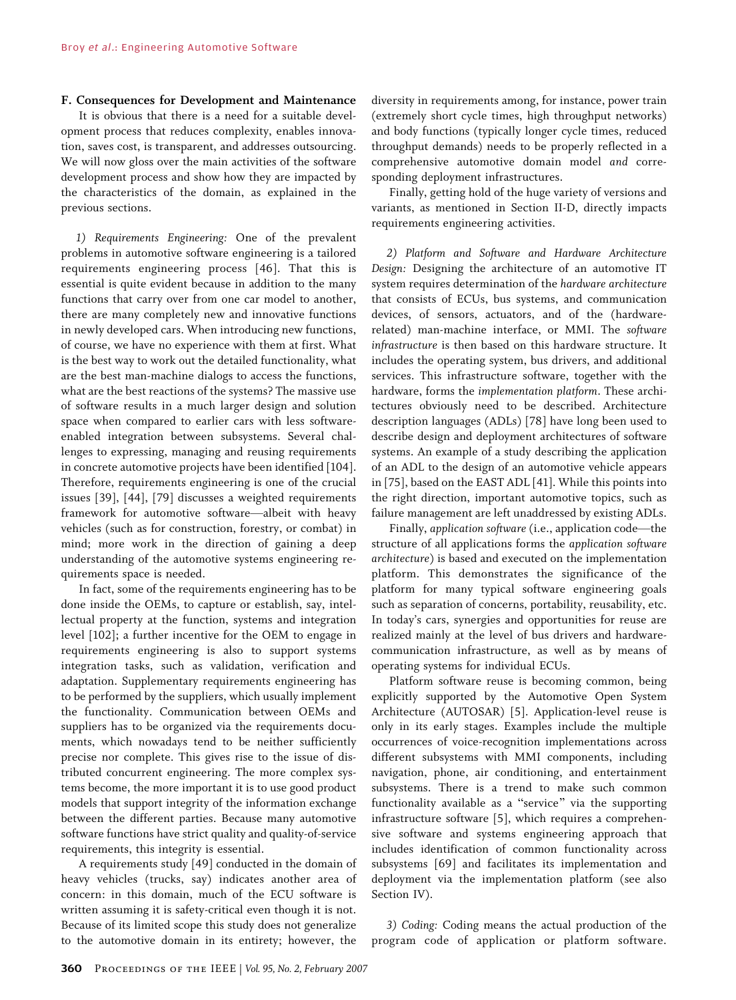#### F. Consequences for Development and Maintenance

It is obvious that there is a need for a suitable development process that reduces complexity, enables innovation, saves cost, is transparent, and addresses outsourcing. We will now gloss over the main activities of the software development process and show how they are impacted by the characteristics of the domain, as explained in the previous sections.

1) Requirements Engineering: One of the prevalent problems in automotive software engineering is a tailored requirements engineering process [46]. That this is essential is quite evident because in addition to the many functions that carry over from one car model to another, there are many completely new and innovative functions in newly developed cars. When introducing new functions, of course, we have no experience with them at first. What is the best way to work out the detailed functionality, what are the best man-machine dialogs to access the functions, what are the best reactions of the systems? The massive use of software results in a much larger design and solution space when compared to earlier cars with less softwareenabled integration between subsystems. Several challenges to expressing, managing and reusing requirements in concrete automotive projects have been identified [104]. Therefore, requirements engineering is one of the crucial issues [39], [44], [79] discusses a weighted requirements framework for automotive software-albeit with heavy vehicles (such as for construction, forestry, or combat) in mind; more work in the direction of gaining a deep understanding of the automotive systems engineering requirements space is needed.

In fact, some of the requirements engineering has to be done inside the OEMs, to capture or establish, say, intellectual property at the function, systems and integration level [102]; a further incentive for the OEM to engage in requirements engineering is also to support systems integration tasks, such as validation, verification and adaptation. Supplementary requirements engineering has to be performed by the suppliers, which usually implement the functionality. Communication between OEMs and suppliers has to be organized via the requirements documents, which nowadays tend to be neither sufficiently precise nor complete. This gives rise to the issue of distributed concurrent engineering. The more complex systems become, the more important it is to use good product models that support integrity of the information exchange between the different parties. Because many automotive software functions have strict quality and quality-of-service requirements, this integrity is essential.

A requirements study [49] conducted in the domain of heavy vehicles (trucks, say) indicates another area of concern: in this domain, much of the ECU software is written assuming it is safety-critical even though it is not. Because of its limited scope this study does not generalize to the automotive domain in its entirety; however, the diversity in requirements among, for instance, power train (extremely short cycle times, high throughput networks) and body functions (typically longer cycle times, reduced throughput demands) needs to be properly reflected in a comprehensive automotive domain model and corresponding deployment infrastructures.

Finally, getting hold of the huge variety of versions and variants, as mentioned in Section II-D, directly impacts requirements engineering activities.

2) Platform and Software and Hardware Architecture Design: Designing the architecture of an automotive IT system requires determination of the hardware architecture that consists of ECUs, bus systems, and communication devices, of sensors, actuators, and of the (hardwarerelated) man-machine interface, or MMI. The software infrastructure is then based on this hardware structure. It includes the operating system, bus drivers, and additional services. This infrastructure software, together with the hardware, forms the implementation platform. These architectures obviously need to be described. Architecture description languages (ADLs) [78] have long been used to describe design and deployment architectures of software systems. An example of a study describing the application of an ADL to the design of an automotive vehicle appears in [75], based on the EAST ADL [41]. While this points into the right direction, important automotive topics, such as failure management are left unaddressed by existing ADLs.

Finally, application software (i.e., application code-the structure of all applications forms the application software architecture) is based and executed on the implementation platform. This demonstrates the significance of the platform for many typical software engineering goals such as separation of concerns, portability, reusability, etc. In today's cars, synergies and opportunities for reuse are realized mainly at the level of bus drivers and hardwarecommunication infrastructure, as well as by means of operating systems for individual ECUs.

Platform software reuse is becoming common, being explicitly supported by the Automotive Open System Architecture (AUTOSAR) [5]. Application-level reuse is only in its early stages. Examples include the multiple occurrences of voice-recognition implementations across different subsystems with MMI components, including navigation, phone, air conditioning, and entertainment subsystems. There is a trend to make such common functionality available as a "service" via the supporting infrastructure software [5], which requires a comprehensive software and systems engineering approach that includes identification of common functionality across subsystems [69] and facilitates its implementation and deployment via the implementation platform (see also Section IV).

3) Coding: Coding means the actual production of the program code of application or platform software.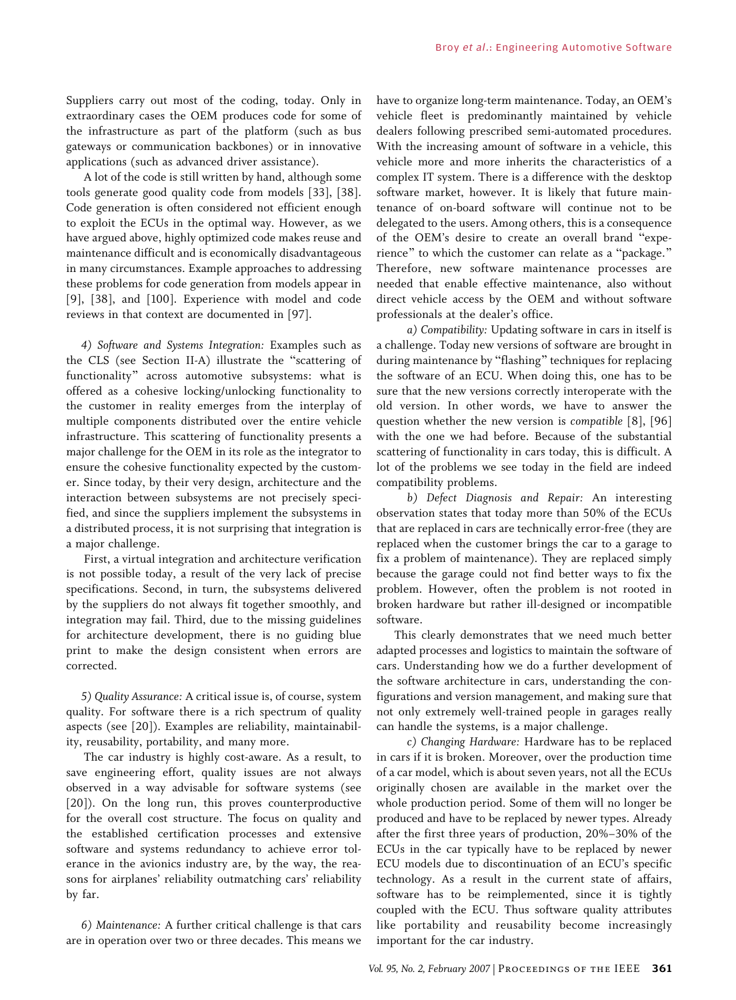Suppliers carry out most of the coding, today. Only in extraordinary cases the OEM produces code for some of the infrastructure as part of the platform (such as bus gateways or communication backbones) or in innovative applications (such as advanced driver assistance).

A lot of the code is still written by hand, although some tools generate good quality code from models [33], [38]. Code generation is often considered not efficient enough to exploit the ECUs in the optimal way. However, as we have argued above, highly optimized code makes reuse and maintenance difficult and is economically disadvantageous in many circumstances. Example approaches to addressing these problems for code generation from models appear in [9], [38], and [100]. Experience with model and code reviews in that context are documented in [97].

4) Software and Systems Integration: Examples such as the CLS (see Section II-A) illustrate the "scattering of functionality" across automotive subsystems: what is offered as a cohesive locking/unlocking functionality to the customer in reality emerges from the interplay of multiple components distributed over the entire vehicle infrastructure. This scattering of functionality presents a major challenge for the OEM in its role as the integrator to ensure the cohesive functionality expected by the customer. Since today, by their very design, architecture and the interaction between subsystems are not precisely specified, and since the suppliers implement the subsystems in a distributed process, it is not surprising that integration is a major challenge.

First, a virtual integration and architecture verification is not possible today, a result of the very lack of precise specifications. Second, in turn, the subsystems delivered by the suppliers do not always fit together smoothly, and integration may fail. Third, due to the missing guidelines for architecture development, there is no guiding blue print to make the design consistent when errors are corrected.

5) Quality Assurance: A critical issue is, of course, system quality. For software there is a rich spectrum of quality aspects (see [20]). Examples are reliability, maintainability, reusability, portability, and many more.

The car industry is highly cost-aware. As a result, to save engineering effort, quality issues are not always observed in a way advisable for software systems (see [20]). On the long run, this proves counterproductive for the overall cost structure. The focus on quality and the established certification processes and extensive software and systems redundancy to achieve error tolerance in the avionics industry are, by the way, the reasons for airplanes' reliability outmatching cars' reliability by far.

6) Maintenance: A further critical challenge is that cars are in operation over two or three decades. This means we have to organize long-term maintenance. Today, an OEM's vehicle fleet is predominantly maintained by vehicle dealers following prescribed semi-automated procedures. With the increasing amount of software in a vehicle, this vehicle more and more inherits the characteristics of a complex IT system. There is a difference with the desktop software market, however. It is likely that future maintenance of on-board software will continue not to be delegated to the users. Among others, this is a consequence of the OEM's desire to create an overall brand "experience" to which the customer can relate as a "package." Therefore, new software maintenance processes are needed that enable effective maintenance, also without direct vehicle access by the OEM and without software professionals at the dealer's office.

a) Compatibility: Updating software in cars in itself is a challenge. Today new versions of software are brought in during maintenance by "flashing" techniques for replacing the software of an ECU. When doing this, one has to be sure that the new versions correctly interoperate with the old version. In other words, we have to answer the question whether the new version is compatible [8], [96] with the one we had before. Because of the substantial scattering of functionality in cars today, this is difficult. A lot of the problems we see today in the field are indeed compatibility problems.

b) Defect Diagnosis and Repair: An interesting observation states that today more than 50% of the ECUs that are replaced in cars are technically error-free (they are replaced when the customer brings the car to a garage to fix a problem of maintenance). They are replaced simply because the garage could not find better ways to fix the problem. However, often the problem is not rooted in broken hardware but rather ill-designed or incompatible software.

This clearly demonstrates that we need much better adapted processes and logistics to maintain the software of cars. Understanding how we do a further development of the software architecture in cars, understanding the configurations and version management, and making sure that not only extremely well-trained people in garages really can handle the systems, is a major challenge.

c) Changing Hardware: Hardware has to be replaced in cars if it is broken. Moreover, over the production time of a car model, which is about seven years, not all the ECUs originally chosen are available in the market over the whole production period. Some of them will no longer be produced and have to be replaced by newer types. Already after the first three years of production, 20%–30% of the ECUs in the car typically have to be replaced by newer ECU models due to discontinuation of an ECU's specific technology. As a result in the current state of affairs, software has to be reimplemented, since it is tightly coupled with the ECU. Thus software quality attributes like portability and reusability become increasingly important for the car industry.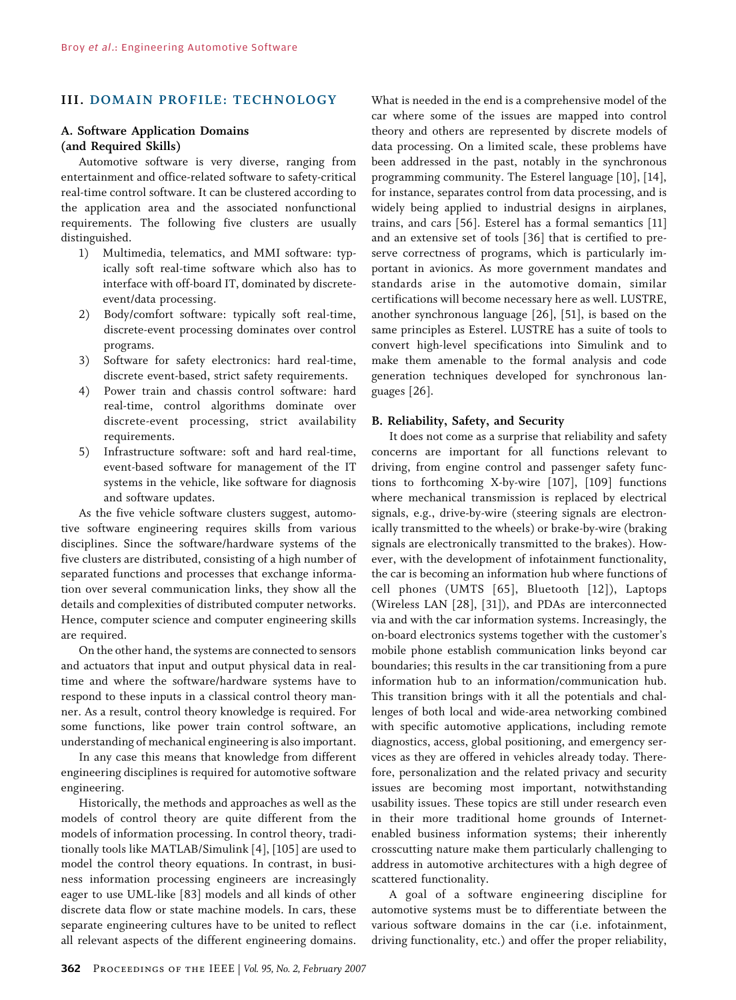## III. DOMAIN PROFILE: TECHNOLOGY

# A. Software Application Domains (and Required Skills)

Automotive software is very diverse, ranging from entertainment and office-related software to safety-critical real-time control software. It can be clustered according to the application area and the associated nonfunctional requirements. The following five clusters are usually distinguished.

- 1) Multimedia, telematics, and MMI software: typically soft real-time software which also has to interface with off-board IT, dominated by discreteevent/data processing.
- 2) Body/comfort software: typically soft real-time, discrete-event processing dominates over control programs.
- 3) Software for safety electronics: hard real-time, discrete event-based, strict safety requirements.
- 4) Power train and chassis control software: hard real-time, control algorithms dominate over discrete-event processing, strict availability requirements.
- 5) Infrastructure software: soft and hard real-time, event-based software for management of the IT systems in the vehicle, like software for diagnosis and software updates.

As the five vehicle software clusters suggest, automotive software engineering requires skills from various disciplines. Since the software/hardware systems of the five clusters are distributed, consisting of a high number of separated functions and processes that exchange information over several communication links, they show all the details and complexities of distributed computer networks. Hence, computer science and computer engineering skills are required.

On the other hand, the systems are connected to sensors and actuators that input and output physical data in realtime and where the software/hardware systems have to respond to these inputs in a classical control theory manner. As a result, control theory knowledge is required. For some functions, like power train control software, an understanding of mechanical engineering is also important.

In any case this means that knowledge from different engineering disciplines is required for automotive software engineering.

Historically, the methods and approaches as well as the models of control theory are quite different from the models of information processing. In control theory, traditionally tools like MATLAB/Simulink [4], [105] are used to model the control theory equations. In contrast, in business information processing engineers are increasingly eager to use UML-like [83] models and all kinds of other discrete data flow or state machine models. In cars, these separate engineering cultures have to be united to reflect all relevant aspects of the different engineering domains.

What is needed in the end is a comprehensive model of the car where some of the issues are mapped into control theory and others are represented by discrete models of data processing. On a limited scale, these problems have been addressed in the past, notably in the synchronous programming community. The Esterel language [10], [14], for instance, separates control from data processing, and is widely being applied to industrial designs in airplanes, trains, and cars [56]. Esterel has a formal semantics [11] and an extensive set of tools [36] that is certified to preserve correctness of programs, which is particularly important in avionics. As more government mandates and standards arise in the automotive domain, similar certifications will become necessary here as well. LUSTRE, another synchronous language [26], [51], is based on the same principles as Esterel. LUSTRE has a suite of tools to convert high-level specifications into Simulink and to make them amenable to the formal analysis and code generation techniques developed for synchronous languages [26].

#### B. Reliability, Safety, and Security

It does not come as a surprise that reliability and safety concerns are important for all functions relevant to driving, from engine control and passenger safety functions to forthcoming X-by-wire [107], [109] functions where mechanical transmission is replaced by electrical signals, e.g., drive-by-wire (steering signals are electronically transmitted to the wheels) or brake-by-wire (braking signals are electronically transmitted to the brakes). However, with the development of infotainment functionality, the car is becoming an information hub where functions of cell phones (UMTS [65], Bluetooth [12]), Laptops (Wireless LAN [28], [31]), and PDAs are interconnected via and with the car information systems. Increasingly, the on-board electronics systems together with the customer's mobile phone establish communication links beyond car boundaries; this results in the car transitioning from a pure information hub to an information/communication hub. This transition brings with it all the potentials and challenges of both local and wide-area networking combined with specific automotive applications, including remote diagnostics, access, global positioning, and emergency services as they are offered in vehicles already today. Therefore, personalization and the related privacy and security issues are becoming most important, notwithstanding usability issues. These topics are still under research even in their more traditional home grounds of Internetenabled business information systems; their inherently crosscutting nature make them particularly challenging to address in automotive architectures with a high degree of scattered functionality.

A goal of a software engineering discipline for automotive systems must be to differentiate between the various software domains in the car (i.e. infotainment, driving functionality, etc.) and offer the proper reliability,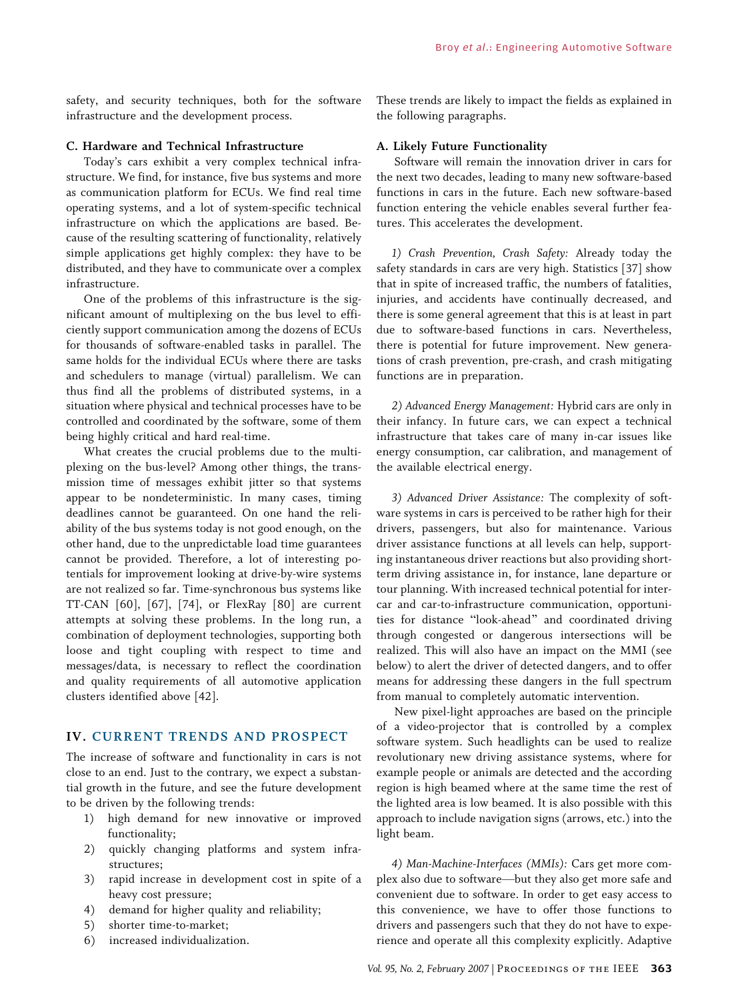safety, and security techniques, both for the software infrastructure and the development process.

## C. Hardware and Technical Infrastructure

Today's cars exhibit a very complex technical infrastructure. We find, for instance, five bus systems and more as communication platform for ECUs. We find real time operating systems, and a lot of system-specific technical infrastructure on which the applications are based. Because of the resulting scattering of functionality, relatively simple applications get highly complex: they have to be distributed, and they have to communicate over a complex infrastructure.

One of the problems of this infrastructure is the significant amount of multiplexing on the bus level to efficiently support communication among the dozens of ECUs for thousands of software-enabled tasks in parallel. The same holds for the individual ECUs where there are tasks and schedulers to manage (virtual) parallelism. We can thus find all the problems of distributed systems, in a situation where physical and technical processes have to be controlled and coordinated by the software, some of them being highly critical and hard real-time.

What creates the crucial problems due to the multiplexing on the bus-level? Among other things, the transmission time of messages exhibit jitter so that systems appear to be nondeterministic. In many cases, timing deadlines cannot be guaranteed. On one hand the reliability of the bus systems today is not good enough, on the other hand, due to the unpredictable load time guarantees cannot be provided. Therefore, a lot of interesting potentials for improvement looking at drive-by-wire systems are not realized so far. Time-synchronous bus systems like TT-CAN [60], [67], [74], or FlexRay [80] are current attempts at solving these problems. In the long run, a combination of deployment technologies, supporting both loose and tight coupling with respect to time and messages/data, is necessary to reflect the coordination and quality requirements of all automotive application clusters identified above [42].

# IV. CURRENT TRENDS AND PROSPECT

The increase of software and functionality in cars is not close to an end. Just to the contrary, we expect a substantial growth in the future, and see the future development to be driven by the following trends:

- 1) high demand for new innovative or improved functionality;
- 2) quickly changing platforms and system infrastructures;
- 3) rapid increase in development cost in spite of a heavy cost pressure;
- 4) demand for higher quality and reliability;
- 5) shorter time-to-market;
- 6) increased individualization.

These trends are likely to impact the fields as explained in the following paragraphs.

# A. Likely Future Functionality

Software will remain the innovation driver in cars for the next two decades, leading to many new software-based functions in cars in the future. Each new software-based function entering the vehicle enables several further features. This accelerates the development.

1) Crash Prevention, Crash Safety: Already today the safety standards in cars are very high. Statistics [37] show that in spite of increased traffic, the numbers of fatalities, injuries, and accidents have continually decreased, and there is some general agreement that this is at least in part due to software-based functions in cars. Nevertheless, there is potential for future improvement. New generations of crash prevention, pre-crash, and crash mitigating functions are in preparation.

2) Advanced Energy Management: Hybrid cars are only in their infancy. In future cars, we can expect a technical infrastructure that takes care of many in-car issues like energy consumption, car calibration, and management of the available electrical energy.

3) Advanced Driver Assistance: The complexity of software systems in cars is perceived to be rather high for their drivers, passengers, but also for maintenance. Various driver assistance functions at all levels can help, supporting instantaneous driver reactions but also providing shortterm driving assistance in, for instance, lane departure or tour planning. With increased technical potential for intercar and car-to-infrastructure communication, opportunities for distance "look-ahead" and coordinated driving through congested or dangerous intersections will be realized. This will also have an impact on the MMI (see below) to alert the driver of detected dangers, and to offer means for addressing these dangers in the full spectrum from manual to completely automatic intervention.

New pixel-light approaches are based on the principle of a video-projector that is controlled by a complex software system. Such headlights can be used to realize revolutionary new driving assistance systems, where for example people or animals are detected and the according region is high beamed where at the same time the rest of the lighted area is low beamed. It is also possible with this approach to include navigation signs (arrows, etc.) into the light beam.

4) Man-Machine-Interfaces (MMIs): Cars get more complex also due to software—but they also get more safe and convenient due to software. In order to get easy access to this convenience, we have to offer those functions to drivers and passengers such that they do not have to experience and operate all this complexity explicitly. Adaptive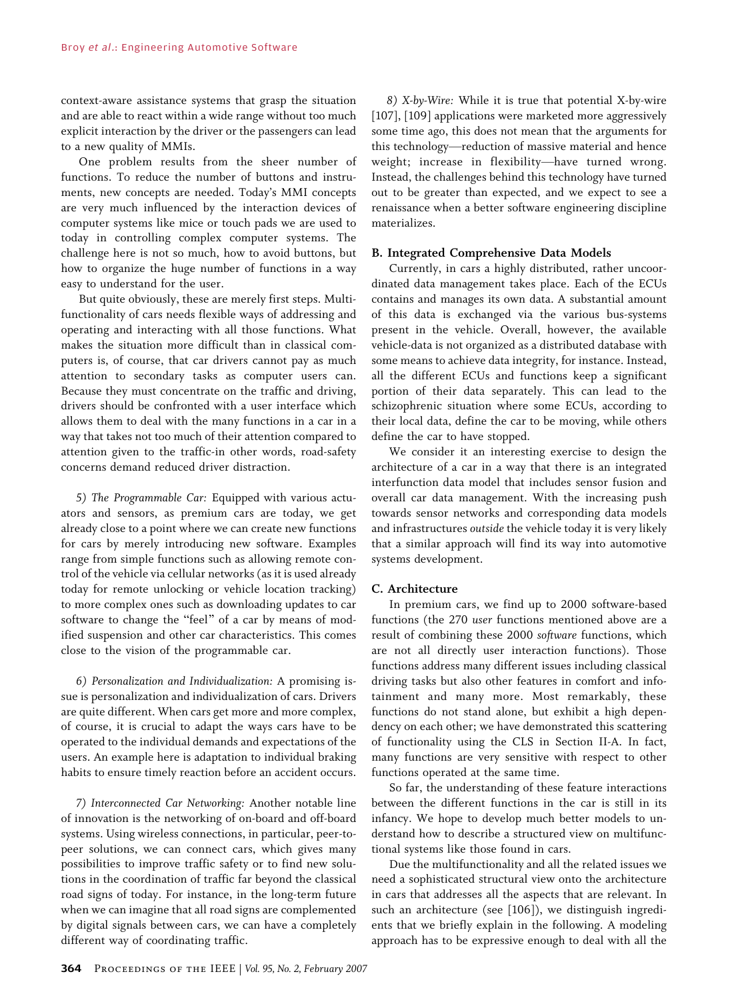context-aware assistance systems that grasp the situation and are able to react within a wide range without too much explicit interaction by the driver or the passengers can lead to a new quality of MMIs.

One problem results from the sheer number of functions. To reduce the number of buttons and instruments, new concepts are needed. Today's MMI concepts are very much influenced by the interaction devices of computer systems like mice or touch pads we are used to today in controlling complex computer systems. The challenge here is not so much, how to avoid buttons, but how to organize the huge number of functions in a way easy to understand for the user.

But quite obviously, these are merely first steps. Multifunctionality of cars needs flexible ways of addressing and operating and interacting with all those functions. What makes the situation more difficult than in classical computers is, of course, that car drivers cannot pay as much attention to secondary tasks as computer users can. Because they must concentrate on the traffic and driving, drivers should be confronted with a user interface which allows them to deal with the many functions in a car in a way that takes not too much of their attention compared to attention given to the traffic-in other words, road-safety concerns demand reduced driver distraction.

5) The Programmable Car: Equipped with various actuators and sensors, as premium cars are today, we get already close to a point where we can create new functions for cars by merely introducing new software. Examples range from simple functions such as allowing remote control of the vehicle via cellular networks (as it is used already today for remote unlocking or vehicle location tracking) to more complex ones such as downloading updates to car software to change the "feel" of a car by means of modified suspension and other car characteristics. This comes close to the vision of the programmable car.

6) Personalization and Individualization: A promising issue is personalization and individualization of cars. Drivers are quite different. When cars get more and more complex, of course, it is crucial to adapt the ways cars have to be operated to the individual demands and expectations of the users. An example here is adaptation to individual braking habits to ensure timely reaction before an accident occurs.

7) Interconnected Car Networking: Another notable line of innovation is the networking of on-board and off-board systems. Using wireless connections, in particular, peer-topeer solutions, we can connect cars, which gives many possibilities to improve traffic safety or to find new solutions in the coordination of traffic far beyond the classical road signs of today. For instance, in the long-term future when we can imagine that all road signs are complemented by digital signals between cars, we can have a completely different way of coordinating traffic.

8) X-by-Wire: While it is true that potential X-by-wire [107], [109] applications were marketed more aggressively some time ago, this does not mean that the arguments for this technology-reduction of massive material and hence weight; increase in flexibility-have turned wrong. Instead, the challenges behind this technology have turned out to be greater than expected, and we expect to see a renaissance when a better software engineering discipline materializes.

## B. Integrated Comprehensive Data Models

Currently, in cars a highly distributed, rather uncoordinated data management takes place. Each of the ECUs contains and manages its own data. A substantial amount of this data is exchanged via the various bus-systems present in the vehicle. Overall, however, the available vehicle-data is not organized as a distributed database with some means to achieve data integrity, for instance. Instead, all the different ECUs and functions keep a significant portion of their data separately. This can lead to the schizophrenic situation where some ECUs, according to their local data, define the car to be moving, while others define the car to have stopped.

We consider it an interesting exercise to design the architecture of a car in a way that there is an integrated interfunction data model that includes sensor fusion and overall car data management. With the increasing push towards sensor networks and corresponding data models and infrastructures outside the vehicle today it is very likely that a similar approach will find its way into automotive systems development.

#### C. Architecture

In premium cars, we find up to 2000 software-based functions (the 270 user functions mentioned above are a result of combining these 2000 software functions, which are not all directly user interaction functions). Those functions address many different issues including classical driving tasks but also other features in comfort and infotainment and many more. Most remarkably, these functions do not stand alone, but exhibit a high dependency on each other; we have demonstrated this scattering of functionality using the CLS in Section II-A. In fact, many functions are very sensitive with respect to other functions operated at the same time.

So far, the understanding of these feature interactions between the different functions in the car is still in its infancy. We hope to develop much better models to understand how to describe a structured view on multifunctional systems like those found in cars.

Due the multifunctionality and all the related issues we need a sophisticated structural view onto the architecture in cars that addresses all the aspects that are relevant. In such an architecture (see [106]), we distinguish ingredients that we briefly explain in the following. A modeling approach has to be expressive enough to deal with all the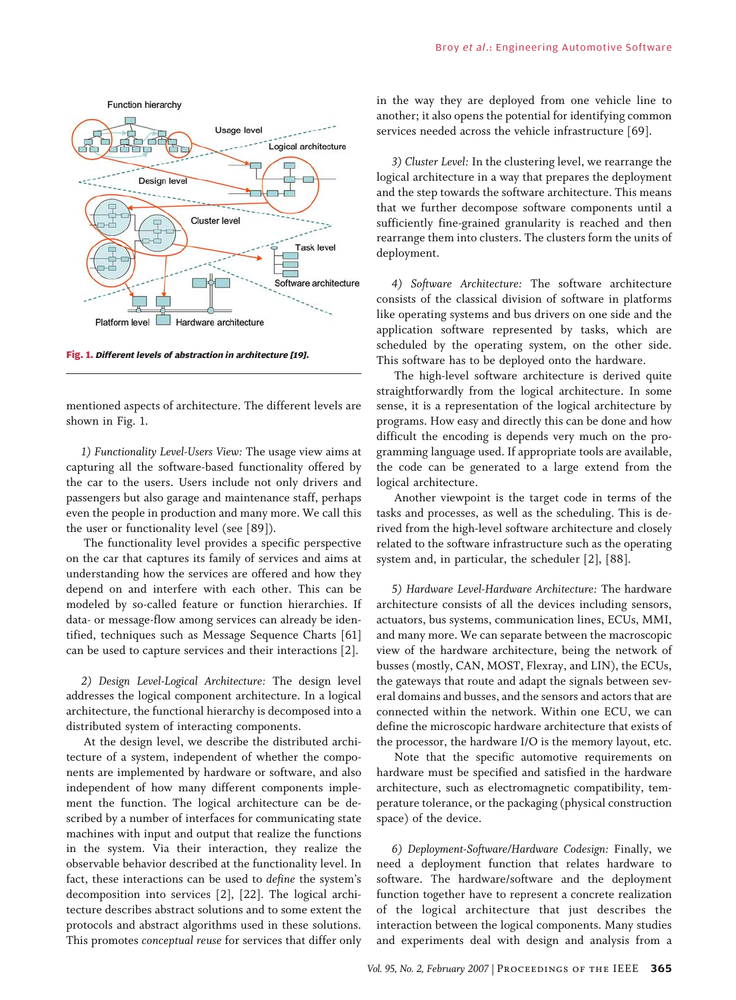

Fig. 1. Different levels of abstraction in architecture [19].

mentioned aspects of architecture. The different levels are shown in Fig. 1.

1) Functionality Level-Users View: The usage view aims at capturing all the software-based functionality offered by the car to the users. Users include not only drivers and passengers but also garage and maintenance staff, perhaps even the people in production and many more. We call this the user or functionality level (see [89]).

The functionality level provides a specific perspective on the car that captures its family of services and aims at understanding how the services are offered and how they depend on and interfere with each other. This can be modeled by so-called feature or function hierarchies. If data- or message-flow among services can already be identified, techniques such as Message Sequence Charts [61] can be used to capture services and their interactions [2].

2) Design Level-Logical Architecture: The design level addresses the logical component architecture. In a logical architecture, the functional hierarchy is decomposed into a distributed system of interacting components.

At the design level, we describe the distributed architecture of a system, independent of whether the components are implemented by hardware or software, and also independent of how many different components implement the function. The logical architecture can be described by a number of interfaces for communicating state machines with input and output that realize the functions in the system. Via their interaction, they realize the observable behavior described at the functionality level. In fact, these interactions can be used to define the system's decomposition into services [2], [22]. The logical architecture describes abstract solutions and to some extent the protocols and abstract algorithms used in these solutions. This promotes conceptual reuse for services that differ only

in the way they are deployed from one vehicle line to another; it also opens the potential for identifying common services needed across the vehicle infrastructure [69].

3) Cluster Level: In the clustering level, we rearrange the logical architecture in a way that prepares the deployment and the step towards the software architecture. This means that we further decompose software components until a sufficiently fine-grained granularity is reached and then rearrange them into clusters. The clusters form the units of deployment.

4) Software Architecture: The software architecture consists of the classical division of software in platforms like operating systems and bus drivers on one side and the application software represented by tasks, which are scheduled by the operating system, on the other side. This software has to be deployed onto the hardware.

The high-level software architecture is derived quite straightforwardly from the logical architecture. In some sense, it is a representation of the logical architecture by programs. How easy and directly this can be done and how difficult the encoding is depends very much on the programming language used. If appropriate tools are available, the code can be generated to a large extend from the logical architecture.

Another viewpoint is the target code in terms of the tasks and processes, as well as the scheduling. This is derived from the high-level software architecture and closely related to the software infrastructure such as the operating system and, in particular, the scheduler [2], [88].

5) Hardware Level-Hardware Architecture: The hardware architecture consists of all the devices including sensors, actuators, bus systems, communication lines, ECUs, MMI, and many more. We can separate between the macroscopic view of the hardware architecture, being the network of busses (mostly, CAN, MOST, Flexray, and LIN), the ECUs, the gateways that route and adapt the signals between several domains and busses, and the sensors and actors that are connected within the network. Within one ECU, we can define the microscopic hardware architecture that exists of the processor, the hardware I/O is the memory layout, etc.

Note that the specific automotive requirements on hardware must be specified and satisfied in the hardware architecture, such as electromagnetic compatibility, temperature tolerance, or the packaging (physical construction space) of the device.

6) Deployment-Software/Hardware Codesign: Finally, we need a deployment function that relates hardware to software. The hardware/software and the deployment function together have to represent a concrete realization of the logical architecture that just describes the interaction between the logical components. Many studies and experiments deal with design and analysis from a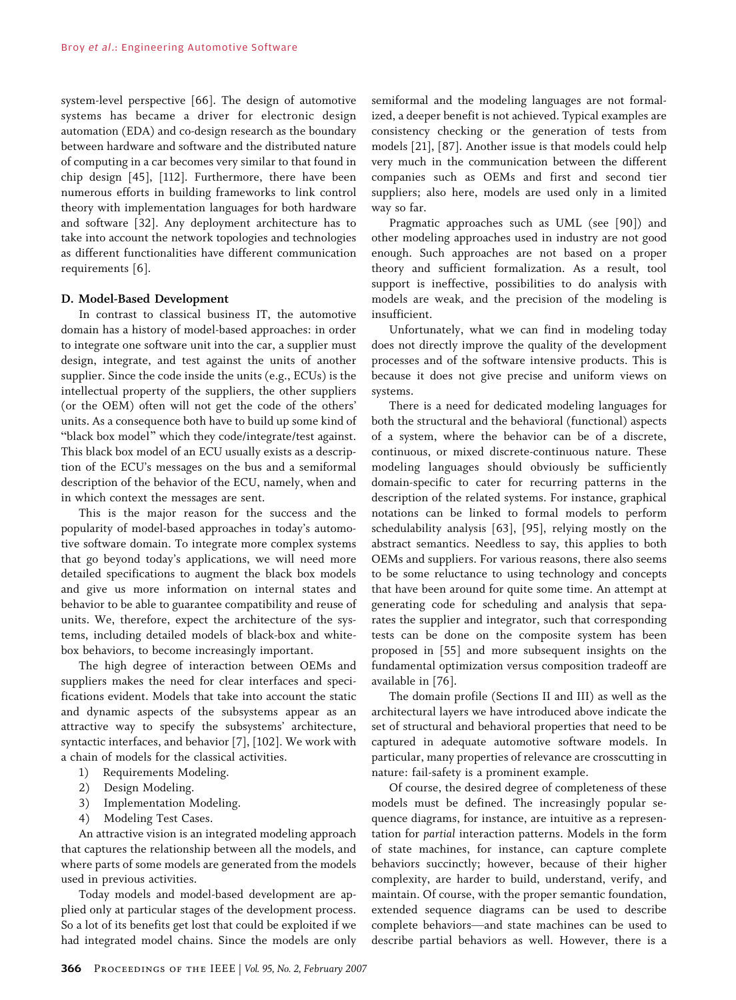system-level perspective [66]. The design of automotive systems has became a driver for electronic design automation (EDA) and co-design research as the boundary between hardware and software and the distributed nature of computing in a car becomes very similar to that found in chip design [45], [112]. Furthermore, there have been numerous efforts in building frameworks to link control theory with implementation languages for both hardware and software [32]. Any deployment architecture has to take into account the network topologies and technologies as different functionalities have different communication requirements [6].

#### D. Model-Based Development

In contrast to classical business IT, the automotive domain has a history of model-based approaches: in order to integrate one software unit into the car, a supplier must design, integrate, and test against the units of another supplier. Since the code inside the units (e.g., ECUs) is the intellectual property of the suppliers, the other suppliers (or the OEM) often will not get the code of the others' units. As a consequence both have to build up some kind of "black box model" which they code/integrate/test against. This black box model of an ECU usually exists as a description of the ECU's messages on the bus and a semiformal description of the behavior of the ECU, namely, when and in which context the messages are sent.

This is the major reason for the success and the popularity of model-based approaches in today's automotive software domain. To integrate more complex systems that go beyond today's applications, we will need more detailed specifications to augment the black box models and give us more information on internal states and behavior to be able to guarantee compatibility and reuse of units. We, therefore, expect the architecture of the systems, including detailed models of black-box and whitebox behaviors, to become increasingly important.

The high degree of interaction between OEMs and suppliers makes the need for clear interfaces and specifications evident. Models that take into account the static and dynamic aspects of the subsystems appear as an attractive way to specify the subsystems' architecture, syntactic interfaces, and behavior [7], [102]. We work with a chain of models for the classical activities.

- 1) Requirements Modeling.
- 2) Design Modeling.
- 3) Implementation Modeling.
- 4) Modeling Test Cases.

An attractive vision is an integrated modeling approach that captures the relationship between all the models, and where parts of some models are generated from the models used in previous activities.

Today models and model-based development are applied only at particular stages of the development process. So a lot of its benefits get lost that could be exploited if we had integrated model chains. Since the models are only semiformal and the modeling languages are not formalized, a deeper benefit is not achieved. Typical examples are consistency checking or the generation of tests from models [21], [87]. Another issue is that models could help very much in the communication between the different companies such as OEMs and first and second tier suppliers; also here, models are used only in a limited way so far.

Pragmatic approaches such as UML (see [90]) and other modeling approaches used in industry are not good enough. Such approaches are not based on a proper theory and sufficient formalization. As a result, tool support is ineffective, possibilities to do analysis with models are weak, and the precision of the modeling is insufficient.

Unfortunately, what we can find in modeling today does not directly improve the quality of the development processes and of the software intensive products. This is because it does not give precise and uniform views on systems.

There is a need for dedicated modeling languages for both the structural and the behavioral (functional) aspects of a system, where the behavior can be of a discrete, continuous, or mixed discrete-continuous nature. These modeling languages should obviously be sufficiently domain-specific to cater for recurring patterns in the description of the related systems. For instance, graphical notations can be linked to formal models to perform schedulability analysis [63], [95], relying mostly on the abstract semantics. Needless to say, this applies to both OEMs and suppliers. For various reasons, there also seems to be some reluctance to using technology and concepts that have been around for quite some time. An attempt at generating code for scheduling and analysis that separates the supplier and integrator, such that corresponding tests can be done on the composite system has been proposed in [55] and more subsequent insights on the fundamental optimization versus composition tradeoff are available in [76].

The domain profile (Sections II and III) as well as the architectural layers we have introduced above indicate the set of structural and behavioral properties that need to be captured in adequate automotive software models. In particular, many properties of relevance are crosscutting in nature: fail-safety is a prominent example.

Of course, the desired degree of completeness of these models must be defined. The increasingly popular sequence diagrams, for instance, are intuitive as a representation for partial interaction patterns. Models in the form of state machines, for instance, can capture complete behaviors succinctly; however, because of their higher complexity, are harder to build, understand, verify, and maintain. Of course, with the proper semantic foundation, extended sequence diagrams can be used to describe complete behaviors-and state machines can be used to describe partial behaviors as well. However, there is a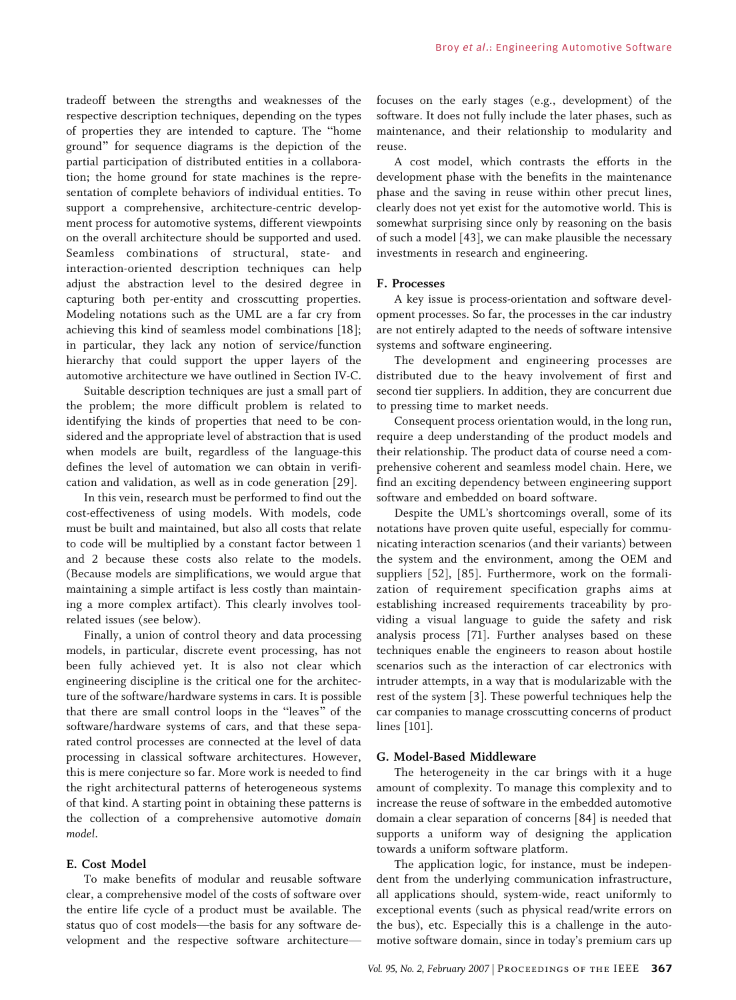tradeoff between the strengths and weaknesses of the respective description techniques, depending on the types of properties they are intended to capture. The "home ground" for sequence diagrams is the depiction of the partial participation of distributed entities in a collaboration; the home ground for state machines is the representation of complete behaviors of individual entities. To support a comprehensive, architecture-centric development process for automotive systems, different viewpoints on the overall architecture should be supported and used. Seamless combinations of structural, state- and interaction-oriented description techniques can help adjust the abstraction level to the desired degree in capturing both per-entity and crosscutting properties. Modeling notations such as the UML are a far cry from achieving this kind of seamless model combinations [18]; in particular, they lack any notion of service/function hierarchy that could support the upper layers of the automotive architecture we have outlined in Section IV-C.

Suitable description techniques are just a small part of the problem; the more difficult problem is related to identifying the kinds of properties that need to be considered and the appropriate level of abstraction that is used when models are built, regardless of the language-this defines the level of automation we can obtain in verification and validation, as well as in code generation [29].

In this vein, research must be performed to find out the cost-effectiveness of using models. With models, code must be built and maintained, but also all costs that relate to code will be multiplied by a constant factor between 1 and 2 because these costs also relate to the models. (Because models are simplifications, we would argue that maintaining a simple artifact is less costly than maintaining a more complex artifact). This clearly involves toolrelated issues (see below).

Finally, a union of control theory and data processing models, in particular, discrete event processing, has not been fully achieved yet. It is also not clear which engineering discipline is the critical one for the architecture of the software/hardware systems in cars. It is possible that there are small control loops in the "leaves" of the software/hardware systems of cars, and that these separated control processes are connected at the level of data processing in classical software architectures. However, this is mere conjecture so far. More work is needed to find the right architectural patterns of heterogeneous systems of that kind. A starting point in obtaining these patterns is the collection of a comprehensive automotive domain model.

#### E. Cost Model

To make benefits of modular and reusable software clear, a comprehensive model of the costs of software over the entire life cycle of a product must be available. The status quo of cost models—the basis for any software development and the respective software architecturefocuses on the early stages (e.g., development) of the software. It does not fully include the later phases, such as maintenance, and their relationship to modularity and reuse.

A cost model, which contrasts the efforts in the development phase with the benefits in the maintenance phase and the saving in reuse within other precut lines, clearly does not yet exist for the automotive world. This is somewhat surprising since only by reasoning on the basis of such a model [43], we can make plausible the necessary investments in research and engineering.

#### F. Processes

A key issue is process-orientation and software development processes. So far, the processes in the car industry are not entirely adapted to the needs of software intensive systems and software engineering.

The development and engineering processes are distributed due to the heavy involvement of first and second tier suppliers. In addition, they are concurrent due to pressing time to market needs.

Consequent process orientation would, in the long run, require a deep understanding of the product models and their relationship. The product data of course need a comprehensive coherent and seamless model chain. Here, we find an exciting dependency between engineering support software and embedded on board software.

Despite the UML's shortcomings overall, some of its notations have proven quite useful, especially for communicating interaction scenarios (and their variants) between the system and the environment, among the OEM and suppliers [52], [85]. Furthermore, work on the formalization of requirement specification graphs aims at establishing increased requirements traceability by providing a visual language to guide the safety and risk analysis process [71]. Further analyses based on these techniques enable the engineers to reason about hostile scenarios such as the interaction of car electronics with intruder attempts, in a way that is modularizable with the rest of the system [3]. These powerful techniques help the car companies to manage crosscutting concerns of product lines [101].

#### G. Model-Based Middleware

The heterogeneity in the car brings with it a huge amount of complexity. To manage this complexity and to increase the reuse of software in the embedded automotive domain a clear separation of concerns [84] is needed that supports a uniform way of designing the application towards a uniform software platform.

The application logic, for instance, must be independent from the underlying communication infrastructure, all applications should, system-wide, react uniformly to exceptional events (such as physical read/write errors on the bus), etc. Especially this is a challenge in the automotive software domain, since in today's premium cars up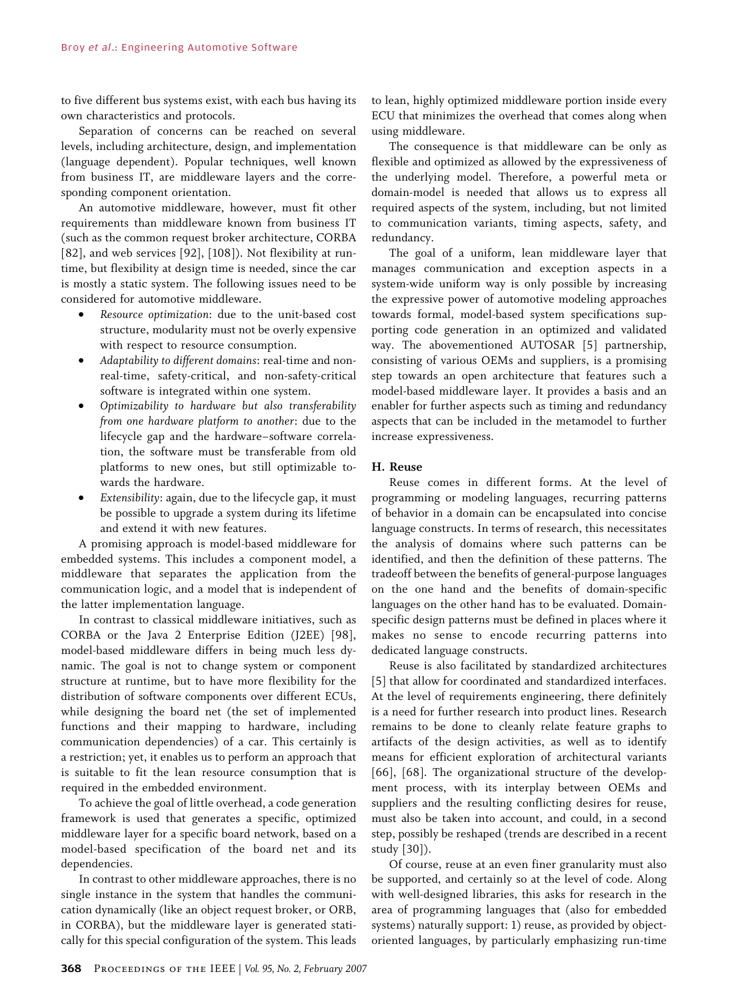to five different bus systems exist, with each bus having its own characteristics and protocols.

Separation of concerns can be reached on several levels, including architecture, design, and implementation (language dependent). Popular techniques, well known from business IT, are middleware layers and the corresponding component orientation.

An automotive middleware, however, must fit other requirements than middleware known from business IT (such as the common request broker architecture, CORBA [82], and web services [92], [108]). Not flexibility at runtime, but flexibility at design time is needed, since the car is mostly a static system. The following issues need to be considered for automotive middleware.

- Resource optimization: due to the unit-based cost structure, modularity must not be overly expensive with respect to resource consumption.
- Adaptability to different domains: real-time and nonreal-time, safety-critical, and non-safety-critical software is integrated within one system.
- Optimizability to hardware but also transferability from one hardware platform to another: due to the lifecycle gap and the hardware–software correlation, the software must be transferable from old platforms to new ones, but still optimizable towards the hardware.
- Extensibility: again, due to the lifecycle gap, it must be possible to upgrade a system during its lifetime and extend it with new features.

A promising approach is model-based middleware for embedded systems. This includes a component model, a middleware that separates the application from the communication logic, and a model that is independent of the latter implementation language.

In contrast to classical middleware initiatives, such as CORBA or the Java 2 Enterprise Edition (J2EE) [98], model-based middleware differs in being much less dynamic. The goal is not to change system or component structure at runtime, but to have more flexibility for the distribution of software components over different ECUs, while designing the board net (the set of implemented functions and their mapping to hardware, including communication dependencies) of a car. This certainly is a restriction; yet, it enables us to perform an approach that is suitable to fit the lean resource consumption that is required in the embedded environment.

To achieve the goal of little overhead, a code generation framework is used that generates a specific, optimized middleware layer for a specific board network, based on a model-based specification of the board net and its dependencies.

In contrast to other middleware approaches, there is no single instance in the system that handles the communication dynamically (like an object request broker, or ORB, in CORBA), but the middleware layer is generated statically for this special configuration of the system. This leads to lean, highly optimized middleware portion inside every ECU that minimizes the overhead that comes along when using middleware.

The consequence is that middleware can be only as flexible and optimized as allowed by the expressiveness of the underlying model. Therefore, a powerful meta or domain-model is needed that allows us to express all required aspects of the system, including, but not limited to communication variants, timing aspects, safety, and redundancy.

The goal of a uniform, lean middleware layer that manages communication and exception aspects in a system-wide uniform way is only possible by increasing the expressive power of automotive modeling approaches towards formal, model-based system specifications supporting code generation in an optimized and validated way. The abovementioned AUTOSAR [5] partnership, consisting of various OEMs and suppliers, is a promising step towards an open architecture that features such a model-based middleware layer. It provides a basis and an enabler for further aspects such as timing and redundancy aspects that can be included in the metamodel to further increase expressiveness.

## H. Reuse

Reuse comes in different forms. At the level of programming or modeling languages, recurring patterns of behavior in a domain can be encapsulated into concise language constructs. In terms of research, this necessitates the analysis of domains where such patterns can be identified, and then the definition of these patterns. The tradeoff between the benefits of general-purpose languages on the one hand and the benefits of domain-specific languages on the other hand has to be evaluated. Domainspecific design patterns must be defined in places where it makes no sense to encode recurring patterns into dedicated language constructs.

Reuse is also facilitated by standardized architectures [5] that allow for coordinated and standardized interfaces. At the level of requirements engineering, there definitely is a need for further research into product lines. Research remains to be done to cleanly relate feature graphs to artifacts of the design activities, as well as to identify means for efficient exploration of architectural variants [66], [68]. The organizational structure of the development process, with its interplay between OEMs and suppliers and the resulting conflicting desires for reuse, must also be taken into account, and could, in a second step, possibly be reshaped (trends are described in a recent study [30]).

Of course, reuse at an even finer granularity must also be supported, and certainly so at the level of code. Along with well-designed libraries, this asks for research in the area of programming languages that (also for embedded systems) naturally support: 1) reuse, as provided by objectoriented languages, by particularly emphasizing run-time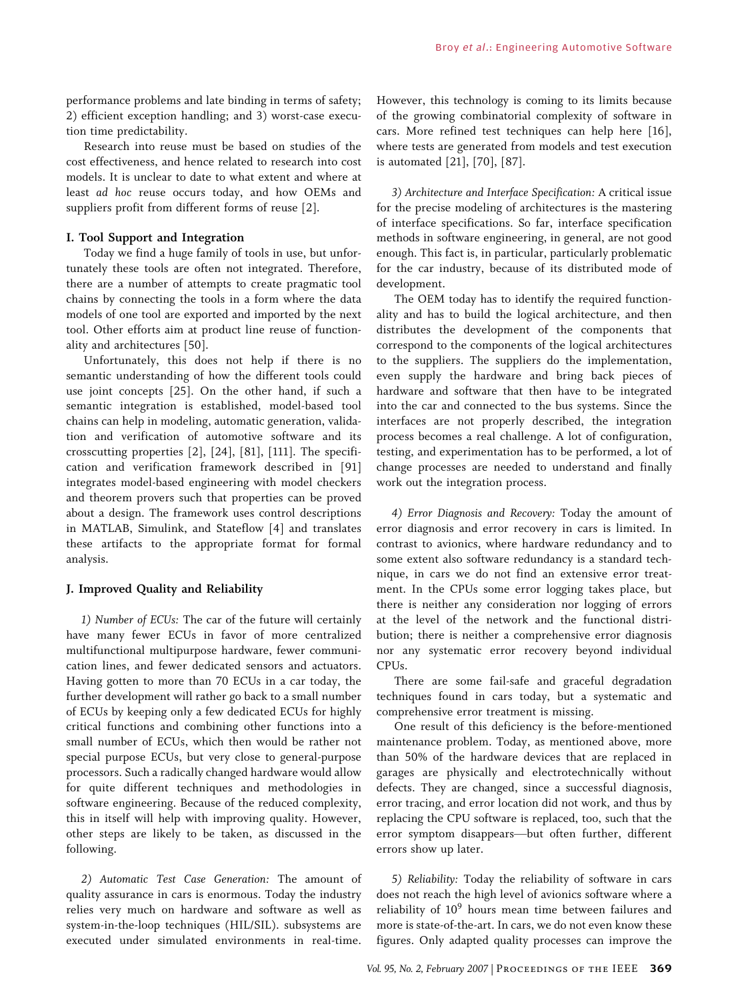performance problems and late binding in terms of safety; 2) efficient exception handling; and 3) worst-case execution time predictability.

Research into reuse must be based on studies of the cost effectiveness, and hence related to research into cost models. It is unclear to date to what extent and where at least ad hoc reuse occurs today, and how OEMs and suppliers profit from different forms of reuse [2].

#### I. Tool Support and Integration

Today we find a huge family of tools in use, but unfortunately these tools are often not integrated. Therefore, there are a number of attempts to create pragmatic tool chains by connecting the tools in a form where the data models of one tool are exported and imported by the next tool. Other efforts aim at product line reuse of functionality and architectures [50].

Unfortunately, this does not help if there is no semantic understanding of how the different tools could use joint concepts [25]. On the other hand, if such a semantic integration is established, model-based tool chains can help in modeling, automatic generation, validation and verification of automotive software and its crosscutting properties [2], [24], [81], [111]. The specification and verification framework described in [91] integrates model-based engineering with model checkers and theorem provers such that properties can be proved about a design. The framework uses control descriptions in MATLAB, Simulink, and Stateflow [4] and translates these artifacts to the appropriate format for formal analysis.

## J. Improved Quality and Reliability

1) Number of ECUs: The car of the future will certainly have many fewer ECUs in favor of more centralized multifunctional multipurpose hardware, fewer communication lines, and fewer dedicated sensors and actuators. Having gotten to more than 70 ECUs in a car today, the further development will rather go back to a small number of ECUs by keeping only a few dedicated ECUs for highly critical functions and combining other functions into a small number of ECUs, which then would be rather not special purpose ECUs, but very close to general-purpose processors. Such a radically changed hardware would allow for quite different techniques and methodologies in software engineering. Because of the reduced complexity, this in itself will help with improving quality. However, other steps are likely to be taken, as discussed in the following.

2) Automatic Test Case Generation: The amount of quality assurance in cars is enormous. Today the industry relies very much on hardware and software as well as system-in-the-loop techniques (HIL/SIL). subsystems are executed under simulated environments in real-time. However, this technology is coming to its limits because of the growing combinatorial complexity of software in cars. More refined test techniques can help here [16], where tests are generated from models and test execution is automated [21], [70], [87].

3) Architecture and Interface Specification: A critical issue for the precise modeling of architectures is the mastering of interface specifications. So far, interface specification methods in software engineering, in general, are not good enough. This fact is, in particular, particularly problematic for the car industry, because of its distributed mode of development.

The OEM today has to identify the required functionality and has to build the logical architecture, and then distributes the development of the components that correspond to the components of the logical architectures to the suppliers. The suppliers do the implementation, even supply the hardware and bring back pieces of hardware and software that then have to be integrated into the car and connected to the bus systems. Since the interfaces are not properly described, the integration process becomes a real challenge. A lot of configuration, testing, and experimentation has to be performed, a lot of change processes are needed to understand and finally work out the integration process.

4) Error Diagnosis and Recovery: Today the amount of error diagnosis and error recovery in cars is limited. In contrast to avionics, where hardware redundancy and to some extent also software redundancy is a standard technique, in cars we do not find an extensive error treatment. In the CPUs some error logging takes place, but there is neither any consideration nor logging of errors at the level of the network and the functional distribution; there is neither a comprehensive error diagnosis nor any systematic error recovery beyond individual CPUs.

There are some fail-safe and graceful degradation techniques found in cars today, but a systematic and comprehensive error treatment is missing.

One result of this deficiency is the before-mentioned maintenance problem. Today, as mentioned above, more than 50% of the hardware devices that are replaced in garages are physically and electrotechnically without defects. They are changed, since a successful diagnosis, error tracing, and error location did not work, and thus by replacing the CPU software is replaced, too, such that the error symptom disappears—but often further, different errors show up later.

5) Reliability: Today the reliability of software in cars does not reach the high level of avionics software where a reliability of  $10^9$  hours mean time between failures and more is state-of-the-art. In cars, we do not even know these figures. Only adapted quality processes can improve the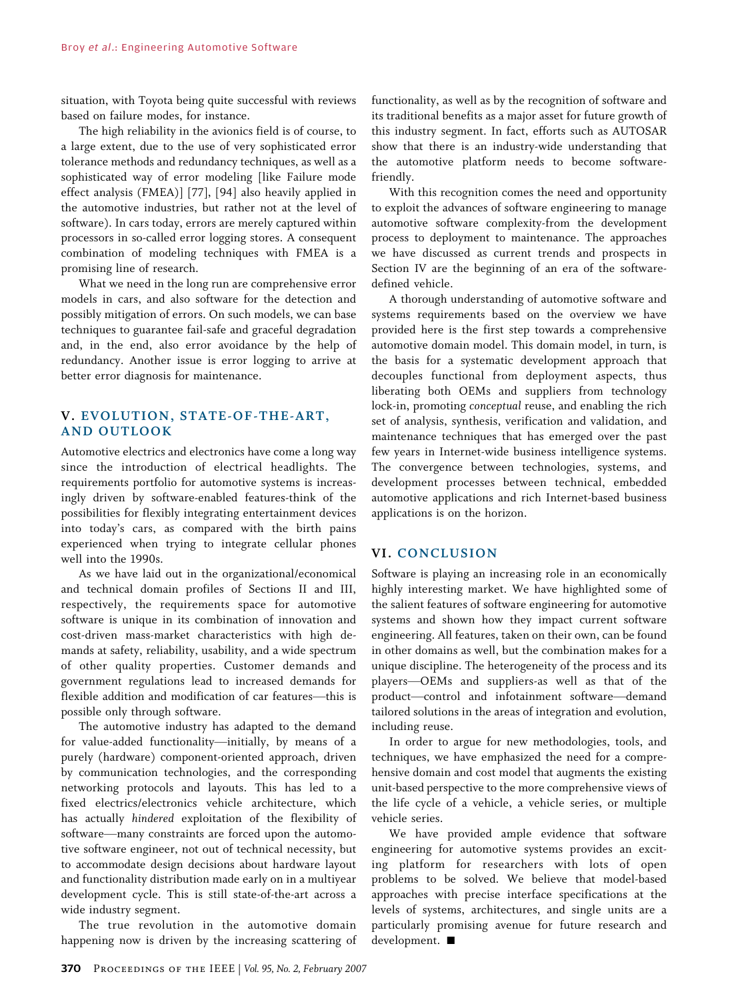situation, with Toyota being quite successful with reviews based on failure modes, for instance.

The high reliability in the avionics field is of course, to a large extent, due to the use of very sophisticated error tolerance methods and redundancy techniques, as well as a sophisticated way of error modeling [like Failure mode effect analysis (FMEA)] [77], [94] also heavily applied in the automotive industries, but rather not at the level of software). In cars today, errors are merely captured within processors in so-called error logging stores. A consequent combination of modeling techniques with FMEA is a promising line of research.

What we need in the long run are comprehensive error models in cars, and also software for the detection and possibly mitigation of errors. On such models, we can base techniques to guarantee fail-safe and graceful degradation and, in the end, also error avoidance by the help of redundancy. Another issue is error logging to arrive at better error diagnosis for maintenance.

# V. EVOLUTION, STATE-OF-THE-ART, AND OUTLOOK

Automotive electrics and electronics have come a long way since the introduction of electrical headlights. The requirements portfolio for automotive systems is increasingly driven by software-enabled features-think of the possibilities for flexibly integrating entertainment devices into today's cars, as compared with the birth pains experienced when trying to integrate cellular phones well into the 1990s.

As we have laid out in the organizational/economical and technical domain profiles of Sections II and III, respectively, the requirements space for automotive software is unique in its combination of innovation and cost-driven mass-market characteristics with high demands at safety, reliability, usability, and a wide spectrum of other quality properties. Customer demands and government regulations lead to increased demands for flexible addition and modification of car features—this is possible only through software.

The automotive industry has adapted to the demand for value-added functionality-initially, by means of a purely (hardware) component-oriented approach, driven by communication technologies, and the corresponding networking protocols and layouts. This has led to a fixed electrics/electronics vehicle architecture, which has actually hindered exploitation of the flexibility of software—many constraints are forced upon the automotive software engineer, not out of technical necessity, but to accommodate design decisions about hardware layout and functionality distribution made early on in a multiyear development cycle. This is still state-of-the-art across a wide industry segment.

The true revolution in the automotive domain happening now is driven by the increasing scattering of functionality, as well as by the recognition of software and its traditional benefits as a major asset for future growth of this industry segment. In fact, efforts such as AUTOSAR show that there is an industry-wide understanding that the automotive platform needs to become softwarefriendly.

With this recognition comes the need and opportunity to exploit the advances of software engineering to manage automotive software complexity-from the development process to deployment to maintenance. The approaches we have discussed as current trends and prospects in Section IV are the beginning of an era of the softwaredefined vehicle.

A thorough understanding of automotive software and systems requirements based on the overview we have provided here is the first step towards a comprehensive automotive domain model. This domain model, in turn, is the basis for a systematic development approach that decouples functional from deployment aspects, thus liberating both OEMs and suppliers from technology lock-in, promoting conceptual reuse, and enabling the rich set of analysis, synthesis, verification and validation, and maintenance techniques that has emerged over the past few years in Internet-wide business intelligence systems. The convergence between technologies, systems, and development processes between technical, embedded automotive applications and rich Internet-based business applications is on the horizon.

## VI. CONCLUSION

Software is playing an increasing role in an economically highly interesting market. We have highlighted some of the salient features of software engineering for automotive systems and shown how they impact current software engineering. All features, taken on their own, can be found in other domains as well, but the combination makes for a unique discipline. The heterogeneity of the process and its players-OEMs and suppliers-as well as that of the product-control and infotainment software-demand tailored solutions in the areas of integration and evolution, including reuse.

In order to argue for new methodologies, tools, and techniques, we have emphasized the need for a comprehensive domain and cost model that augments the existing unit-based perspective to the more comprehensive views of the life cycle of a vehicle, a vehicle series, or multiple vehicle series.

We have provided ample evidence that software engineering for automotive systems provides an exciting platform for researchers with lots of open problems to be solved. We believe that model-based approaches with precise interface specifications at the levels of systems, architectures, and single units are a particularly promising avenue for future research and development.  $\blacksquare$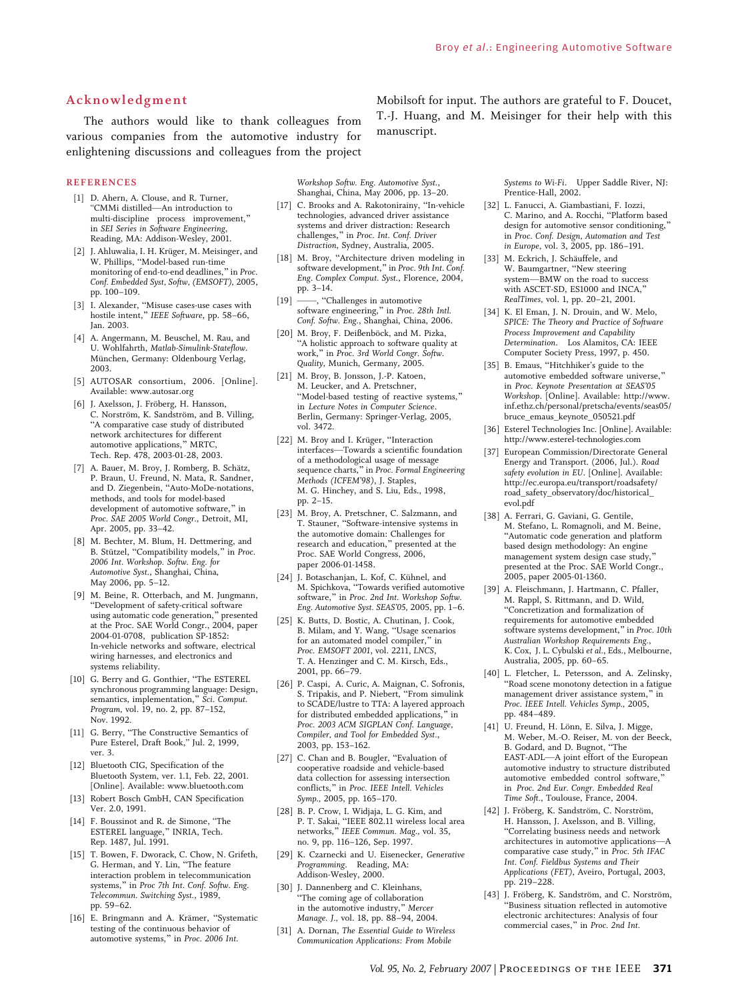## Acknowledgment

The authors would like to thank colleagues from various companies from the automotive industry for enlightening discussions and colleagues from the project Mobilsoft for input. The authors are grateful to F. Doucet, T.-J. Huang, and M. Meisinger for their help with this manuscript.

#### **REFERENCES**

- [1] D. Ahern, A. Clouse, and R. Turner, "CMMi distilled-An introduction to multi-discipline process improvement," in SEI Series in Software Engineering, Reading, MA: Addison-Wesley, 2001.
- [2] J. Ahluwalia, I. H. Krüger, M. Meisinger, and W. Phillips, "Model-based run-time monitoring of end-to-end deadlines," in Proc. Conf. Embedded Syst, Softw, (EMSOFT), 2005, pp. 100–109.
- [3] I. Alexander, "Misuse cases-use cases with hostile intent," IEEE Software, pp. 58–66, Jan. 2003.
- [4] A. Angermann, M. Beuschel, M. Rau, and U. Wohlfahrth, Matlab-Simulink-Stateflow. München, Germany: Oldenbourg Verlag, 2003.
- [5] AUTOSAR consortium, 2006. [Online]. Available: www.autosar.org.
- [6] J. Axelsson, J. Fröberg, H. Hansson, C. Norström, K. Sandström, and B. Villing, "A comparative case study of distributed network architectures for different<br>automotive applications," MRTC,<br>Tech. Rep. 478, 2003-01-28, 2003.
- [7] A. Bauer, M. Broy, J. Romberg, B. Schätz, P. Braun, U. Freund, N. Mata, R. Sandner, and D. Ziegenbein, "Auto-MoDe-notations, methods, and tools for model-based development of automotive software," in Proc. SAE 2005 World Congr., Detroit, MI, Apr. 2005, pp. 33–42.
- [8] M. Bechter, M. Blum, H. Dettmering, and B. Stützel, "Compatibility models," in Proc. 2006 Int. Workshop. Softw. Eng. for Automotive Syst., Shanghai, China, May 2006, pp. 5–12.
- [9] M. Beine, R. Otterbach, and M. Jungmann, "Development of safety-critical software using automatic code generation," presented at the Proc. SAE World Congr., 2004, paper 2004-01-0708, publication SP-1852: In-vehicle networks and software, electrical wiring harnesses, and electronics and systems reliability.
- [10] G. Berry and G. Gonthier, "The ESTEREL synchronous programming language: Design,<br>semantics, implementation," Sci. Comput. Program, vol. 19, no. 2, pp. 87–152, Nov. 1992.
- [11] G. Berry, "The Constructive Semantics of Pure Esterel, Draft Book,'' Jul. 2, 1999, ver. 3.
- [12] Bluetooth CIG, Specification of the Bluetooth System, ver. 1.1, Feb. 22, 2001. [Online]. Available: www.bluetooth.com.
- [13] Robert Bosch GmbH, CAN Specification Ver. 2.0, 1991.
- [14] F. Boussinot and R. de Simone, ''The ESTEREL language," INRIA, Tech. Rep. 1487, Jul. 1991.
- [15] T. Bowen, F. Dworack, C. Chow, N. Grifeth, G. Herman, and Y. Lin, "The feature interaction problem in telecommunication systems," in Proc 7th Int. Conf. Softw. Eng. Telecommun. Switching Syst., 1989, pp. 59–62.
- [16] E. Bringmann and A. Krämer, "Systematic testing of the continuous behavior of automotive systems," in Proc. 2006 Int.

Workshop Softw. Eng. Automotive Syst., Shanghai, China, May 2006, pp. 13–20.

- [17] C. Brooks and A. Rakotonirainy, "In-vehicle technologies, advanced driver assistance systems and driver distraction: Research challenges," in Proc. Int. Conf. Driver Distraction, Sydney, Australia, 2005.
- [18] M. Broy, "Architecture driven modeling in software development," in Proc. 9th Int. Conf. Eng. Complex Comput. Syst., Florence, 2004, pp. 3–14.
- [19] -, "Challenges in automotive software engineering," in Proc. 28th Intl. Conf. Softw. Eng., Shanghai, China, 2006.
- [20] M. Broy, F. Deißenböck, and M. Pizka, "A holistic approach to software quality at work," in Proc. 3rd World Congr. Softw. Quality, Munich, Germany, 2005.
- [21] M. Broy, B. Jonsson, J.-P. Katoen, M. Leucker, and A. Pretschner, "Model-based testing of reactive systems," in Lecture Notes in Computer Science. Berlin, Germany: Springer-Verlag, 2005, vol. 3472.
- [22] M. Broy and I. Krüger, "Interaction interfaces-Towards a scientific foundation of a methodological usage of message sequence charts," in Proc. Formal Engineering Methods (ICFEM'98), J. Staples, M. G. Hinchey, and S. Liu, Eds., 1998, pp. 2–15.
- [23] M. Broy, A. Pretschner, C. Salzmann, and T. Stauner, "Software-intensive systems in the automotive domain: Challenges for research and education," presented at the Proc. SAE World Congress, 2006, paper 2006-01-1458.
- [24] J. Botaschanjan, L. Kof, C. Kühnel, and<br>M. Spichkova, "Towards verified automotive software," in Proc. 2nd Int. Workshop Softw. Eng. Automotive Syst. SEAS'05, 2005, pp. 1–6.
- [25] K. Butts, D. Bostic, A. Chutinan, J. Cook, B. Milam, and Y. Wang, "Usage scenarios for an automated model compiler," in Proc. EMSOFT 2001, vol. 2211, LNCS, T. A. Henzinger and C. M. Kirsch, Eds., 2001, pp. 66–79.
- [26] P. Caspi, A. Curic, A. Maignan, C. Sofronis, S. Tripakis, and P. Niebert, "From simulink to SCADE/lustre to TTA: A layered approach for distributed embedded applications," in  $\,$ Proc. 2003 ACM SIGPLAN Conf. Language, Compiler, and Tool for Embedded Syst., 2003, pp. 153–162.
- [27] C. Chan and B. Bougler, "Evaluation of cooperative roadside and vehicle-based data collection for assessing intersection conflicts," in Proc. IEEE Intell. Vehicles Symp., 2005, pp. 165–170.
- [28] B. P. Crow, I. Widjaja, L. G. Kim, and P. T. Sakai, "IEEE 802.11 wireless local area<br>networks," IEEE Commun. Mag., vol. 35, no. 9, pp. 116–126, Sep. 1997.
- [29] K. Czarnecki and U. Eisenecker, Generative Programming. Reading, MA: Addison-Wesley, 2000.
- [30] J. Dannenberg and C. Kleinhans, BThe coming age of collaboration in the automotive industry," Mercer Manage. J., vol. 18, pp. 88–94, 2004.
- [31] A. Dornan, The Essential Guide to Wireless Communication Applications: From Mobile

Systems to Wi-Fi. Upper Saddle River, NJ: Prentice-Hall, 2002.

- [32] L. Fanucci, A. Giambastiani, F. Iozzi, C. Marino, and A. Rocchi, "Platform based design for automotive sensor conditioning, in Proc. Conf. Design, Automation and Test in Europe, vol. 3, 2005, pp. 186–191.
- [33] M. Eckrich, J. Schäuffele, and W. Baumgartner, "New steering system-BMW on the road to success with ASCET-SD, ES1000 and INCA, RealTimes, vol. 1, pp. 20–21, 2001.
- [34] K. El Eman, J. N. Drouin, and W. Melo, SPICE: The Theory and Practice of Software Process Improvement and Capability Determination. Los Alamitos, CA: IEEE Computer Society Press, 1997, p. 450.
- [35] B. Emaus, "Hitchhiker's guide to the automotive embedded software universe," in Proc. Keynote Presentation at SEAS'05 Workshop. [Online]. Available: http://www. inf.ethz.ch/personal/pretscha/events/seas05/ bruce\_emaus\_keynote\_050521.pdf.
- [36] Esterel Technologies Inc. [Online]. Available: http://www.esterel-technologies.com.
- [37] European Commission/Directorate General Energy and Transport. (2006, Jul.). Road safety evolution in EU. [Online]. Available: http://ec.europa.eu/transport/roadsafety/ road\_safety\_observatory/doc/historical\_ evol.pdf.
- [38] A. Ferrari, G. Gaviani, G. Gentile, M. Stefano, L. Romagnoli, and M. Beine, "Automatic code generation and platform based design methodology: An engine management system design case study," presented at the Proc. SAE World Congr., 2005, paper 2005-01-1360.
- [39] A. Fleischmann, J. Hartmann, C. Pfaller, M. Rappl, S. Rittmann, and D. Wild, BConcretization and formalization of requirements for automotive embedded software systems development," in Proc. 10th Australian Workshop Requirements Eng., K. Cox, J. L. Cybulski et al., Eds., Melbourne, Australia, 2005, pp. 60–65.
- [40] L. Fletcher, L. Petersson, and A. Zelinsky, "Road scene monotony detection in a fatigue management driver assistance system," in Proc. IEEE Intell. Vehicles Symp., 2005, pp. 484–489.
- [41] U. Freund, H. Lönn, E. Silva, J. Migge, M. Weber, M.-O. Reiser, M. von der Beeck, B. Godard, and D. Bugnot, "The EAST-ADL-A joint effort of the European automotive industry to structure distributed<br>automotive embedded control software," in Proc. 2nd Eur. Congr. Embedded Real Time Soft., Toulouse, France, 2004.
- [42] J. Fröberg, K. Sandström, C. Norström, H. Hansson, J. Axelsson, and B. Villing, "Correlating business needs and network architectures in automotive applications--- A comparative case study," in Proc. 5th IFAC Int. Conf. Fieldbus Systems and Their Applications (FET), Aveiro, Portugal, 2003, pp. 219–228.
- [43] J. Fröberg, K. Sandström, and C. Norström, 'Business situation reflected in automotive electronic architectures: Analysis of four<br>commercial cases," in Proc. 2nd Int.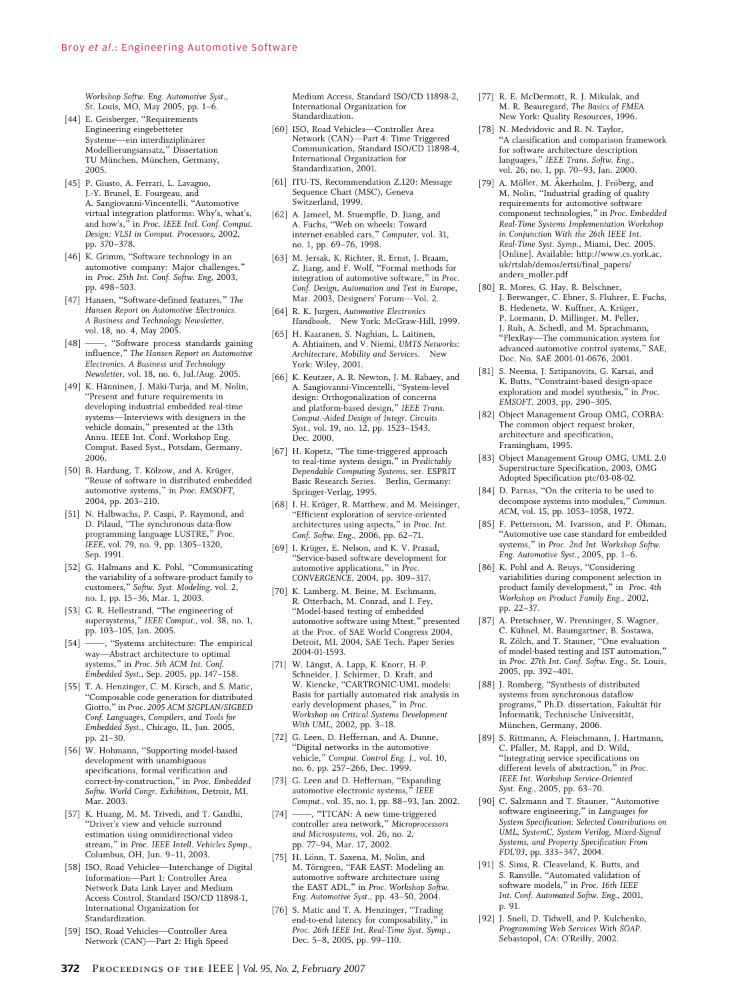Workshop Softw. Eng. Automotive Syst., St. Louis, MO, May 2005, pp. 1–6.

- [44] E. Geisberger, "Requirements Engineering eingebetteter Systeme—ein interdisziplinärer Modellierungsansatz," Dissertation TU München, München, Germany, 2005.
- [45] P. Giusto, A. Ferrari, L. Lavagno, J.-Y. Brunel, E. Fourgeau, and A. Sangiovanni-Vincentelli, "Automotive virtual integration platforms: Why's, what's, and how's," in Proc. IEEE Intl. Conf. Comput. Design: VLSI in Comput. Processors, 2002, pp. 370–378.
- [46] K. Grimm, "Software technology in an automotive company: Major challenges, in Proc. 25th Int. Conf. Softw. Eng, 2003, pp. 498–503.
- [47] Hansen, "Software-defined features," The Hansen Report on Automotive Electronics. A Business and Technology Newsletter, vol. 18, no. 4, May 2005.
- [48]  $\longrightarrow$ , "Software process standards gaining influence," The Hansen Report on Automotive Electronics. A Business and Technology Newsletter, vol. 18, no. 6, Jul./Aug. 2005.
- [49] K. Hänninen, J. Mäki-Turja, and M. Nolin, "Present and future requirements in developing industrial embedded real-time systems-Interviews with designers in the vehicle domain," presented at the 13th<br>Annu. IEEE Int. Conf. Workshop Eng. Comput. Based Syst., Potsdam, Germany, 2006.
- [50] B. Hardung, T. Kölzow, and A. Krüger, "Reuse of software in distributed embedded automotive systems," in Proc. EMSOFT, 2004, pp. 203–210.
- [51] N. Halbwachs, P. Caspi, P. Raymond, and D. Pilaud, "The synchronous data-flow programming language LUSTRE," *Proc.*<br>IEEE, vol. 79, no. 9, pp. 1305–1320, Sep. 1991.
- [52] G. Halmans and K. Pohl, "Communicating the variability of a software-product family to customers," Softw. Syst. Modeling, vol. 2, no. 1, pp. 15–36, Mar. 1, 2003.
- [53] G. R. Hellestrand, "The engineering of supersystems," IEEE Comput., vol. 38, no. 1, pp. 103–105, Jan. 2005.
- [54]  $\frac{1}{\sqrt{2}}$ , "Systems architecture: The empirical way-Abstract architecture to optimal systems," in Proc. 5th ACM Int. Conf. Embedded Syst., Sep. 2005, pp. 147–158.
- [55] T. A. Henzinger, C. M. Kirsch, and S. Matic, "Composable code generation for distributed Giotto," in Proc. 2005 ACM SIGPLAN/SIGBED Conf. Languages, Compilers, and Tools for Embedded Syst., Chicago, IL, Jun. 2005, pp. 21–30.
- $\left[56\right]$  W. Hohmann, "Supporting model-based development with unambiguous specifications, formal verification and correct-by-construction," in Proc. Embedded Softw. World Congr. Exhibition, Detroit, MI, Mar. 2003.
- [57] K. Huang, M. M. Trivedi, and T. Gandhi, "Driver's view and vehicle surround estimation using omnidirectional video stream," in Proc. IEEE Intell. Vehicles Symp., Columbus, OH, Jun. 9–11, 2003.
- [58] ISO, Road Vehicles—Interchange of Digital Information-Part 1: Controller Area Network Data Link Layer and Medium Access Control, Standard ISO/CD 11898-1, International Organization for **Standardization**
- [59] ISO, Road Vehicles-Controller Area Network (CAN)-Part 2: High Speed

Medium Access, Standard ISO/CD 11898-2, International Organization for Standardization.

- [60] ISO, Road Vehicles-Controller Area Network (CAN)-Part 4: Time Triggered Communication, Standard ISO/CD 11898-4, International Organization for Standardization, 2001.
- [61] ITU-TS, Recommendation Z.120: Message Sequence Chart (MSC), Geneva Switzerland, 1999.
- [62] A. Jameel, M. Stuempfle, D. Jiang, and A. Fuchs, "Web on wheels: Toward<br>internet-enabled cars," *Computer*, vol. 31, no. 1, pp. 69–76, 1998.
- [63] M. Jersak, K. Richter, R. Ernst, J. Braam, Z. Jiang, and F. Wolf, "Formal methods for integration of automotive software," in Proc. Conf. Design, Automation and Test in Europe, Mar. 2003, Designers' Forum-Vol. 2.
- [64] R. K. Jurgen, Automotive Electronics Handbook. New York: McGraw-Hill, 1999.
- [65] H. Kaaranen, S. Naghian, L. Laitinen, A. Ahtiainen, and V. Niemi, UMTS Networks: Architecture, Mobility and Services. New York: Wiley, 2001.
- [66] K. Keutzer, A. R. Newton, J. M. Rabaey, and A. Sangiovanni-Vincentelli, "System-level design: Orthogonalization of concerns and platform-based design," IEEE Trans. Comput.-Aided Design of Integr. Circuits Syst., vol. 19, no. 12, pp. 1523–1543, Dec. 2000.
- [67] H. Kopetz, "The time-triggered approach to real-time system design," in Predictably Dependable Computing Systems, ser. ESPRIT Basic Research Series. Berlin, Germany: Springer-Verlag, 1995.
- [68] I. H. Krüger, R. Matthew, and M. Meisinger, BEfficient exploration of service-oriented architectures using aspects," in Proc. Int. Conf. Softw. Eng., 2006, pp. 62–71.
- [69] I. Krüger, E. Nelson, and K. V. Prasad, "Service-based software development for automotive applications," in Proc. CONVERGENCE, 2004, pp. 309–317.
- [70] K. Lamberg, M. Beine, M. Eschmann, R. Otterbach, M. Conrad, and I. Fey, "Model-based testing of embedded automotive software using Mtest," presented at the Proc. of SAE World Congress 2004, Detroit, MI, 2004, SAE Tech. Paper Series 2004-01-1593.
- [71] W. Längst, A. Lapp, K. Knorr, H.-P. Schneider, J. Schirmer, D. Kraft, and<br>W. Kiencke, "CARTRONIC-UML models: Basis for partially automated risk analysis in early development phases," in Proc. Workshop on Critical Systems Development With UML, 2002, pp. 3–18.
- [72] G. Leen, D. Heffernan, and A. Dunne, "Digital networks in the automotive vehicle," Comput. Control Eng. J., vol. 10, no. 6, pp. 257–266, Dec. 1999.
- [73] G. Leen and D. Heffernan, "Expanding<br>automotive electronic systems," IEEE Comput., vol. 35, no. 1, pp. 88–93, Jan. 2002.
- [74]  $\longrightarrow$ , "TTCAN: A new time-triggered controller area network," Microprocessors and Microsystems, vol. 26, no. 2, pp. 77–94, Mar. 17, 2002.
- [75] H. Lönn, T. Saxena, M. Nolin, and M. Törngren, "FAR EAST: Modeling an automotive software architecture using the EAST ADL," in Proc. Workshop Softw. Eng. Automotive Syst., pp. 43–50, 2004.
- [76] S. Matic and T. A. Henzinger, "Trading end-to-end latency for composability," in Proc. 26th IEEE Int. Real-Time Syst. Symp., Dec. 5–8, 2005, pp. 99–110.
- [77] R. E. McDermott, R. J. Mikulak, and M. R. Beauregard, The Basics of FMEA. New York: Quality Resources, 1996.
- [78] N. Medvidovic and R. N. Taylor, "A classification and comparison framework for software architecture description languages," IEEE Trans. Softw. Eng., vol. 26, no. 1, pp. 70–93, Jan. 2000.
- [79] A. Möller, M. Åkerholm, J. Fröberg, and M. Nolin, "Industrial grading of quality requirements for automotive software component technologies," in Proc. Embedded Real-Time Systems Implementation Workshop in Conjunction With the 26th IEEE Int. Real-Time Syst. Symp., Miami, Dec. 2005. [Online]. Available: http://www.cs.york.ac. uk/rtslab/demos/ertsi/final\_papers/ anders\_moller.pdf.
- [80] R. Mores, G. Hay, R. Belschner, J. Berwanger, C. Ebner, S. Fluhrer, E. Fuchs, B. Hedenetz, W. Kuffner, A. Krüger, P. Lormann, D. Millinger, M. Peller, J. Ruh, A. Schedl, and M. Sprachmann,<br>"FlexRay—The communication system for advanced automotive control systems," SAE, Doc. No. SAE 2001-01-0676, 2001.
- [81] S. Neema, J. Sztipanovits, G. Karsai, and<br>K. Butts, "Constraint-based design-space exploration and model synthesis," in Proc. EMSOFT, 2003, pp. 290–305.
- [82] Object Management Group OMG, CORBA: The common object request broker, architecture and specification, Framingham, 1995.
- [83] Object Management Group OMG, UML 2.0 Superstructure Specification, 2003, OMG Adopted Specification ptc/03-08-02.
- [84] D. Parnas, "On the criteria to be used to decompose systems into modules," Commun. ACM, vol. 15, pp. 1053–1058, 1972.
- [85] F. Pettersson, M. Ivarsson, and P. Öhman, "Automotive use case standard for embedded systems," in Proc. 2nd Int. Workshop Softw. Eng. Automotive Syst., 2005, pp. 1–6.
- [86] K. Pohl and A. Reuys, "Considering variabilities during component selection in product family development," in Proc. 4th<br>Workshop on Product Family Eng., 2002, pp. 22–37.
- [87] A. Pretschner, W. Prenninger, S. Wagner, C. Kühnel, M. Baumgartner, B. Sostawa, R. Zölch, and T. Stauner, "One evaluation of model-based testing and IST automation,[ in Proc. 27th Int. Conf. Softw. Eng., St. Louis, 2005, pp. 392–401.
- [88] J. Romberg, "Synthesis of distributed systems from synchronous dataflow programs," Ph.D. dissertation, Fakultät für Informatik, Technische Universität, München, Germany, 2006.
- [89] S. Rittmann, A. Fleischmann, J. Hartmann, C. Pfaller, M. Rappl, and D. Wild, "Integrating service specifications on different levels of abstraction," in Proc. IEEE Int. Workshop Service-Oriented Syst. Eng., 2005, pp. 63–70.
- [90] C. Salzmann and T. Stauner, "Automotive software engineering," in Languages for System Specification: Selected Contributions on UML, SystemC, System Verilog, Mixed-Signal Systems, and Property Specification From FDL'03, pp. 333–347, 2004.
- [91] S. Sims, R. Cleaveland, K. Butts, and S. Ranville, "Automated validation of<br>software models," in *Proc. 16th IEEE* Int. Conf. Automated Softw. Eng., 2001, p. 91.
- [92] J. Snell, D. Tidwell, and P. Kulchenko, Programming Web Services With SOAP. Sebastopol, CA: O'Reilly, 2002.